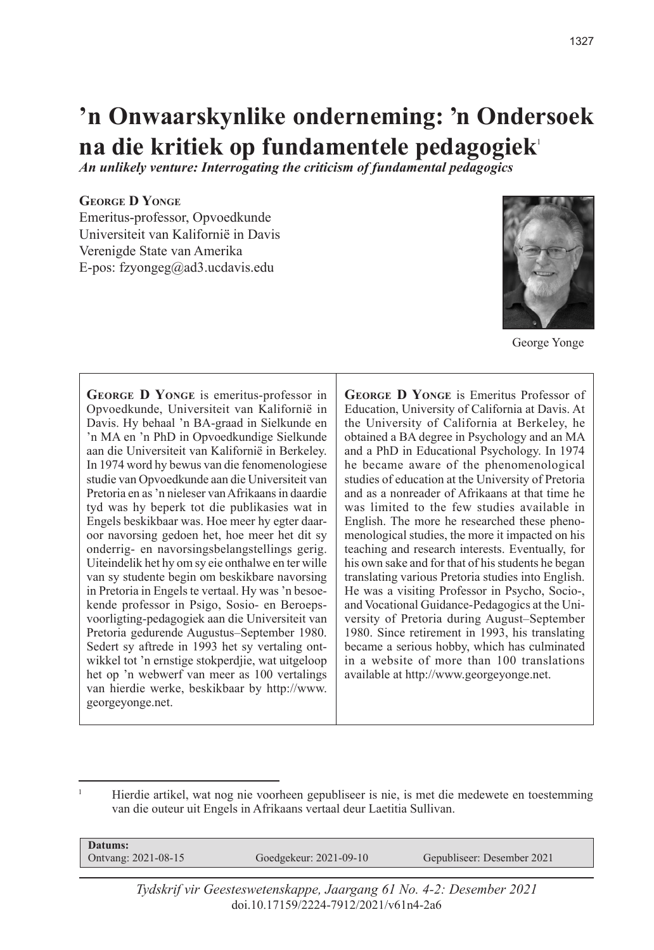**'n Onwaarskynlike onderneming: 'n Ondersoek na die kritiek op fundamentele pedagogiek**<sup>1</sup>

*An unlikely venture: Interrogating the criticism of fundamental pedagogics*

#### **George D Yonge**

Emeritus-professor, Opvoedkunde Universiteit van Kalifornië in Davis Verenigde State van Amerika E-pos: fzyongeg@ad3.ucdavis.edu



George Yonge

**George D Yonge** is emeritus-professor in Opvoedkunde, Universiteit van Kalifornië in Davis. Hy behaal 'n BA-graad in Sielkunde en 'n MA en 'n PhD in Opvoedkundige Sielkunde aan die Universiteit van Kalifornië in Berkeley. In 1974 word hy bewus van die fenomenologiese studie van Opvoedkunde aan die Universiteit van Pretoria en as 'n nieleser van Afrikaans in daardie tyd was hy beperk tot die publikasies wat in Engels beskikbaar was. Hoe meer hy egter daaroor navorsing gedoen het, hoe meer het dit sy onderrig- en navorsingsbelangstellings gerig. Uiteindelik het hy om sy eie onthalwe en ter wille van sy studente begin om beskikbare navorsing in Pretoria in Engels te vertaal. Hy was 'n besoekende professor in Psigo, Sosio- en Beroepsvoorligting-pedagogiek aan die Universiteit van Pretoria gedurende Augustus–September 1980. Sedert sy aftrede in 1993 het sy vertaling ontwikkel tot 'n ernstige stokperdjie, wat uitgeloop het op 'n webwerf van meer as 100 vertalings van hierdie werke, beskikbaar by http://www. georgeyonge.net.

**George D Yonge** is Emeritus Professor of Education, University of California at Davis. At the University of California at Berkeley, he obtained a BA degree in Psychology and an MA and a PhD in Educational Psychology. In 1974 he became aware of the phenomenological studies of education at the University of Pretoria and as a nonreader of Afrikaans at that time he was limited to the few studies available in English. The more he researched these phenomenological studies, the more it impacted on his teaching and research interests. Eventually, for his own sake and for that of his students he began translating various Pretoria studies into English. He was a visiting Professor in Psycho, Socio-, and Vocational Guidance-Pedagogics at the University of Pretoria during August–September 1980. Since retirement in 1993, his translating became a serious hobby, which has culminated in a website of more than 100 translations available at http://www.georgeyonge.net.

<sup>1</sup> Hierdie artikel, wat nog nie voorheen gepubliseer is nie, is met die medewete en toestemming van die outeur uit Engels in Afrikaans vertaal deur Laetitia Sullivan.

| Datums:                   |                        |                            |
|---------------------------|------------------------|----------------------------|
| Ontvang: $2021 - 08 - 15$ | Goedgekeur: 2021-09-10 | Gepubliseer: Desember 2021 |

*Tydskrif vir Geesteswetenskappe, Jaargang 61 No. 4-2: Desember 2021* doi.10.17159/2224-7912/2021/v61n4-2a6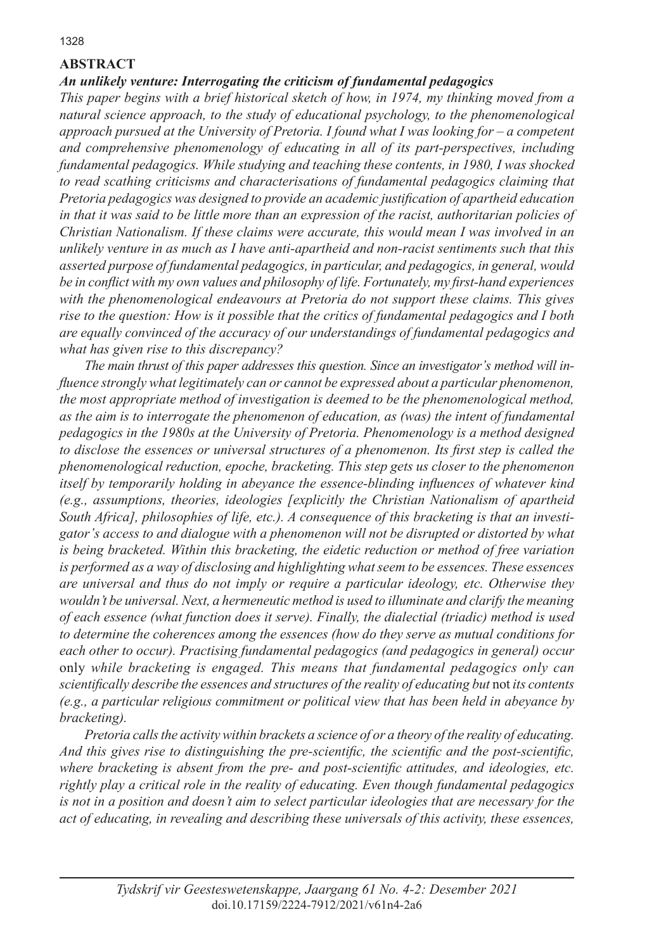## **ABSTRACT**

### *An unlikely venture: Interrogating the criticism of fundamental pedagogics*

*This paper begins with a brief historical sketch of how, in 1974, my thinking moved from a natural science approach, to the study of educational psychology, to the phenomenological approach pursued at the University of Pretoria. I found what I was looking for – a competent and comprehensive phenomenology of educating in all of its part-perspectives, including fundamental pedagogics. While studying and teaching these contents, in 1980, I was shocked to read scathing criticisms and characterisations of fundamental pedagogics claiming that Pretoria pedagogics was designed to provide an academic justification of apartheid education in that it was said to be little more than an expression of the racist, authoritarian policies of Christian Nationalism. If these claims were accurate, this would mean I was involved in an unlikely venture in as much as I have anti-apartheid and non-racist sentiments such that this asserted purpose of fundamental pedagogics, in particular, and pedagogics, in general, would be in conflict with my own values and philosophy of life. Fortunately, my first-hand experiences with the phenomenological endeavours at Pretoria do not support these claims. This gives rise to the question: How is it possible that the critics of fundamental pedagogics and I both are equally convinced of the accuracy of our understandings of fundamental pedagogics and what has given rise to this discrepancy?*

*The main thrust of this paper addresses this question. Since an investigator's method will influence strongly what legitimately can or cannot be expressed about a particular phenomenon, the most appropriate method of investigation is deemed to be the phenomenological method, as the aim is to interrogate the phenomenon of education, as (was) the intent of fundamental pedagogics in the 1980s at the University of Pretoria. Phenomenology is a method designed to disclose the essences or universal structures of a phenomenon. Its first step is called the phenomenological reduction, epoche, bracketing. This step gets us closer to the phenomenon itself by temporarily holding in abeyance the essence-blinding influences of whatever kind (e.g., assumptions, theories, ideologies [explicitly the Christian Nationalism of apartheid South Africa], philosophies of life, etc.). A consequence of this bracketing is that an investigator's access to and dialogue with a phenomenon will not be disrupted or distorted by what is being bracketed. Within this bracketing, the eidetic reduction or method of free variation is performed as a way of disclosing and highlighting what seem to be essences. These essences are universal and thus do not imply or require a particular ideology, etc. Otherwise they wouldn't be universal. Next, a hermeneutic method is used to illuminate and clarify the meaning of each essence (what function does it serve). Finally, the dialectial (triadic) method is used to determine the coherences among the essences (how do they serve as mutual conditions for each other to occur). Practising fundamental pedagogics (and pedagogics in general) occur*  only *while bracketing is engaged. This means that fundamental pedagogics only can scientifically describe the essences and structures of the reality of educating but* not *its contents (e.g., a particular religious commitment or political view that has been held in abeyance by bracketing).*

*Pretoria calls the activity within brackets a science of or a theory of the reality of educating. And this gives rise to distinguishing the pre-scientific, the scientific and the post-scientific, where bracketing is absent from the pre- and post-scientific attitudes, and ideologies, etc. rightly play a critical role in the reality of educating. Even though fundamental pedagogics is not in a position and doesn't aim to select particular ideologies that are necessary for the act of educating, in revealing and describing these universals of this activity, these essences,*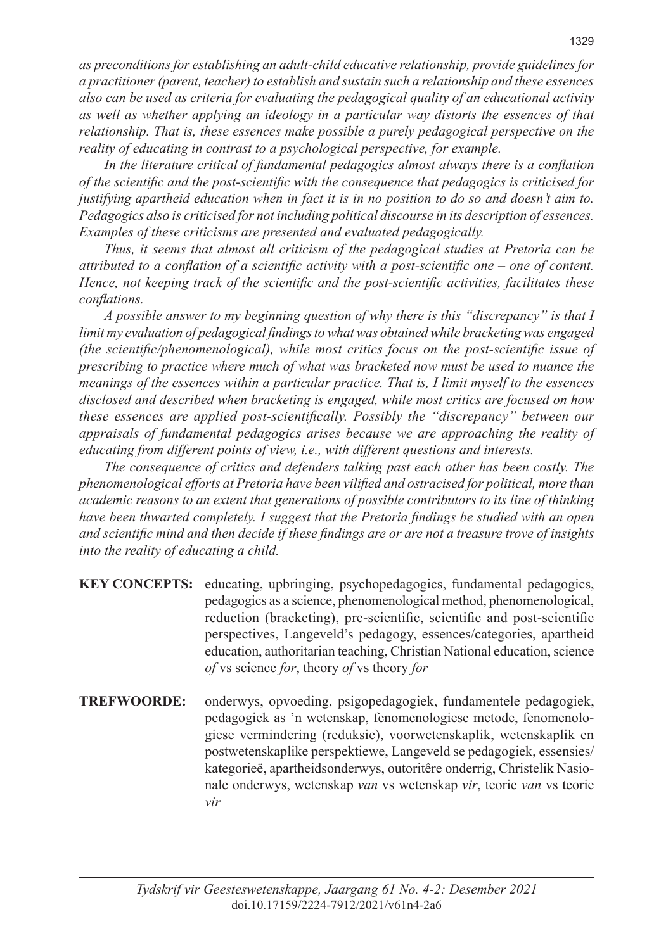*as preconditions for establishing an adult-child educative relationship, provide guidelines for a practitioner (parent, teacher) to establish and sustain such a relationship and these essences also can be used as criteria for evaluating the pedagogical quality of an educational activity as well as whether applying an ideology in a particular way distorts the essences of that relationship. That is, these essences make possible a purely pedagogical perspective on the reality of educating in contrast to a psychological perspective, for example.* 

*In the literature critical of fundamental pedagogics almost always there is a conflation of the scientific and the post-scientific with the consequence that pedagogics is criticised for justifying apartheid education when in fact it is in no position to do so and doesn't aim to. Pedagogics also is criticised for not including political discourse in its description of essences. Examples of these criticisms are presented and evaluated pedagogically.* 

*Thus, it seems that almost all criticism of the pedagogical studies at Pretoria can be attributed to a conflation of a scientific activity with a post-scientific one – one of content. Hence, not keeping track of the scientific and the post-scientific activities, facilitates these conflations.*

*A possible answer to my beginning question of why there is this "discrepancy" is that I limit my evaluation of pedagogical findings to what was obtained while bracketing was engaged (the scientific/phenomenological), while most critics focus on the post-scientific issue of prescribing to practice where much of what was bracketed now must be used to nuance the meanings of the essences within a particular practice. That is, I limit myself to the essences disclosed and described when bracketing is engaged, while most critics are focused on how these essences are applied post-scientifically. Possibly the "discrepancy" between our appraisals of fundamental pedagogics arises because we are approaching the reality of educating from different points of view, i.e., with different questions and interests.*

*The consequence of critics and defenders talking past each other has been costly. The phenomenological efforts at Pretoria have been vilified and ostracised for political, more than academic reasons to an extent that generations of possible contributors to its line of thinking have been thwarted completely. I suggest that the Pretoria findings be studied with an open and scientific mind and then decide if these findings are or are not a treasure trove of insights into the reality of educating a child.*

| <b>KEY CONCEPTS:</b> educating, upbringing, psychopedagogics, fundamental pedagogics, |
|---------------------------------------------------------------------------------------|
| pedagogics as a science, phenomenological method, phenomenological,                   |
| reduction (bracketing), pre-scientific, scientific and post-scientific                |
| perspectives, Langeveld's pedagogy, essences/categories, apartheid                    |
| education, authoritarian teaching, Christian National education, science              |
| <i>of</i> vs science <i>for</i> , theory <i>of</i> vs theory <i>for</i>               |
|                                                                                       |

**TREFWOORDE:** onderwys, opvoeding, psigopedagogiek, fundamentele pedagogiek, pedagogiek as 'n wetenskap, fenomenologiese metode, fenomenologiese vermindering (reduksie), voorwetenskaplik, wetenskaplik en postwetenskaplike perspektiewe, Langeveld se pedagogiek, essensies/ kategorieë, apartheidsonderwys, outoritêre onderrig, Christelik Nasionale onderwys, wetenskap *van* vs wetenskap *vir*, teorie *van* vs teorie *vir*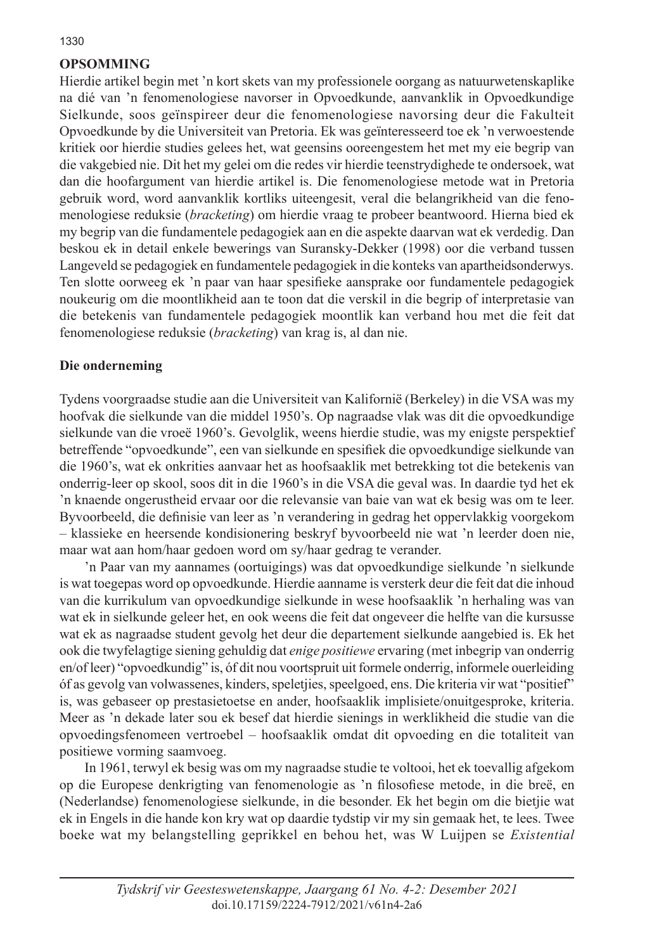# **OPSOMMING**

Hierdie artikel begin met 'n kort skets van my professionele oorgang as natuurwetenskaplike na dié van 'n fenomenologiese navorser in Opvoedkunde, aanvanklik in Opvoedkundige Sielkunde, soos geïnspireer deur die fenomenologiese navorsing deur die Fakulteit Opvoedkunde by die Universiteit van Pretoria. Ek was geïnteresseerd toe ek 'n verwoestende kritiek oor hierdie studies gelees het, wat geensins ooreengestem het met my eie begrip van die vakgebied nie. Dit het my gelei om die redes vir hierdie teenstrydighede te ondersoek, wat dan die hoofargument van hierdie artikel is. Die fenomenologiese metode wat in Pretoria gebruik word, word aanvanklik kortliks uiteengesit, veral die belangrikheid van die fenomenologiese reduksie (*bracketing*) om hierdie vraag te probeer beantwoord. Hierna bied ek my begrip van die fundamentele pedagogiek aan en die aspekte daarvan wat ek verdedig. Dan beskou ek in detail enkele bewerings van Suransky-Dekker (1998) oor die verband tussen Langeveld se pedagogiek en fundamentele pedagogiek in die konteks van apartheidsonderwys. Ten slotte oorweeg ek 'n paar van haar spesifieke aansprake oor fundamentele pedagogiek noukeurig om die moontlikheid aan te toon dat die verskil in die begrip of interpretasie van die betekenis van fundamentele pedagogiek moontlik kan verband hou met die feit dat fenomenologiese reduksie (*bracketing*) van krag is, al dan nie.

### **Die onderneming**

Tydens voorgraadse studie aan die Universiteit van Kalifornië (Berkeley) in die VSA was my hoofvak die sielkunde van die middel 1950's. Op nagraadse vlak was dit die opvoedkundige sielkunde van die vroeë 1960's. Gevolglik, weens hierdie studie, was my enigste perspektief betreffende "opvoedkunde", een van sielkunde en spesifiek die opvoedkundige sielkunde van die 1960's, wat ek onkrities aanvaar het as hoofsaaklik met betrekking tot die betekenis van onderrig-leer op skool, soos dit in die 1960's in die VSA die geval was. In daardie tyd het ek 'n knaende ongerustheid ervaar oor die relevansie van baie van wat ek besig was om te leer. Byvoorbeeld, die definisie van leer as 'n verandering in gedrag het oppervlakkig voorgekom – klassieke en heersende kondisionering beskryf byvoorbeeld nie wat 'n leerder doen nie, maar wat aan hom/haar gedoen word om sy/haar gedrag te verander.

'n Paar van my aannames (oortuigings) was dat opvoedkundige sielkunde 'n sielkunde is wat toegepas word op opvoedkunde. Hierdie aanname is versterk deur die feit dat die inhoud van die kurrikulum van opvoedkundige sielkunde in wese hoofsaaklik 'n herhaling was van wat ek in sielkunde geleer het, en ook weens die feit dat ongeveer die helfte van die kursusse wat ek as nagraadse student gevolg het deur die departement sielkunde aangebied is. Ek het ook die twyfelagtige siening gehuldig dat *enige positiewe* ervaring (met inbegrip van onderrig en/of leer) "opvoedkundig" is, óf dit nou voortspruit uit formele onderrig, informele ouerleiding óf as gevolg van volwassenes, kinders, speletjies, speelgoed, ens. Die kriteria vir wat "positief" is, was gebaseer op prestasietoetse en ander, hoofsaaklik implisiete/onuitgesproke, kriteria. Meer as 'n dekade later sou ek besef dat hierdie sienings in werklikheid die studie van die opvoedingsfenomeen vertroebel – hoofsaaklik omdat dit opvoeding en die totaliteit van positiewe vorming saamvoeg.

In 1961, terwyl ek besig was om my nagraadse studie te voltooi, het ek toevallig afgekom op die Europese denkrigting van fenomenologie as 'n filosofiese metode, in die breë, en (Nederlandse) fenomenologiese sielkunde, in die besonder. Ek het begin om die bietjie wat ek in Engels in die hande kon kry wat op daardie tydstip vir my sin gemaak het, te lees. Twee boeke wat my belangstelling geprikkel en behou het, was W Luijpen se *Existential*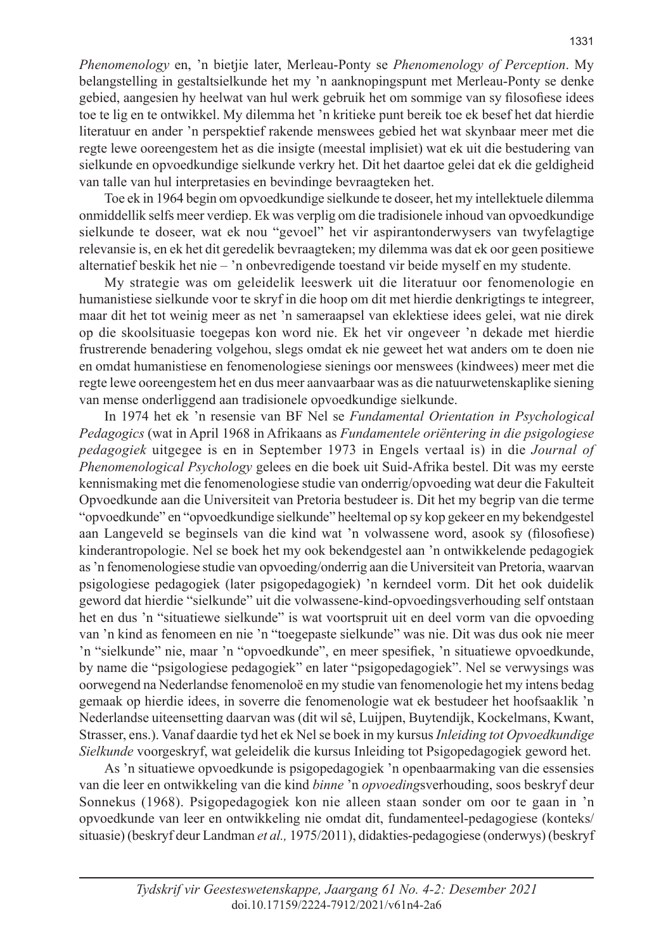*Phenomenology* en, 'n bietjie later, Merleau-Ponty se *Phenomenology of Perception*. My belangstelling in gestaltsielkunde het my 'n aanknopingspunt met Merleau-Ponty se denke gebied, aangesien hy heelwat van hul werk gebruik het om sommige van sy filosofiese idees toe te lig en te ontwikkel. My dilemma het 'n kritieke punt bereik toe ek besef het dat hierdie literatuur en ander 'n perspektief rakende menswees gebied het wat skynbaar meer met die regte lewe ooreengestem het as die insigte (meestal implisiet) wat ek uit die bestudering van sielkunde en opvoedkundige sielkunde verkry het. Dit het daartoe gelei dat ek die geldigheid van talle van hul interpretasies en bevindinge bevraagteken het.

Toe ek in 1964 begin om opvoedkundige sielkunde te doseer, het my intellektuele dilemma onmiddellik selfs meer verdiep. Ek was verplig om die tradisionele inhoud van opvoedkundige sielkunde te doseer, wat ek nou "gevoel" het vir aspirantonderwysers van twyfelagtige relevansie is, en ek het dit geredelik bevraagteken; my dilemma was dat ek oor geen positiewe alternatief beskik het nie – 'n onbevredigende toestand vir beide myself en my studente.

My strategie was om geleidelik leeswerk uit die literatuur oor fenomenologie en humanistiese sielkunde voor te skryf in die hoop om dit met hierdie denkrigtings te integreer, maar dit het tot weinig meer as net 'n sameraapsel van eklektiese idees gelei, wat nie direk op die skoolsituasie toegepas kon word nie. Ek het vir ongeveer 'n dekade met hierdie frustrerende benadering volgehou, slegs omdat ek nie geweet het wat anders om te doen nie en omdat humanistiese en fenomenologiese sienings oor menswees (kindwees) meer met die regte lewe ooreengestem het en dus meer aanvaarbaar was as die natuurwetenskaplike siening van mense onderliggend aan tradisionele opvoedkundige sielkunde.

In 1974 het ek 'n resensie van BF Nel se *Fundamental Orientation in Psychological Pedagogics* (wat in April 1968 in Afrikaans as *Fundamentele oriëntering in die psigologiese pedagogiek* uitgegee is en in September 1973 in Engels vertaal is) in die *Journal of Phenomenological Psychology* gelees en die boek uit Suid-Afrika bestel. Dit was my eerste kennismaking met die fenomenologiese studie van onderrig/opvoeding wat deur die Fakulteit Opvoedkunde aan die Universiteit van Pretoria bestudeer is. Dit het my begrip van die terme "opvoedkunde" en "opvoedkundige sielkunde" heeltemal op sy kop gekeer en my bekendgestel aan Langeveld se beginsels van die kind wat 'n volwassene word, asook sy (filosofiese) kinderantropologie. Nel se boek het my ook bekendgestel aan 'n ontwikkelende pedagogiek as 'n fenomenologiese studie van opvoeding/onderrig aan die Universiteit van Pretoria, waarvan psigologiese pedagogiek (later psigopedagogiek) 'n kerndeel vorm. Dit het ook duidelik geword dat hierdie "sielkunde" uit die volwassene-kind-opvoedingsverhouding self ontstaan het en dus 'n "situatiewe sielkunde" is wat voortspruit uit en deel vorm van die opvoeding van 'n kind as fenomeen en nie 'n "toegepaste sielkunde" was nie. Dit was dus ook nie meer 'n "sielkunde" nie, maar 'n "opvoedkunde", en meer spesifiek, 'n situatiewe opvoedkunde, by name die "psigologiese pedagogiek" en later "psigopedagogiek". Nel se verwysings was oorwegend na Nederlandse fenomenoloë en my studie van fenomenologie het my intens bedag gemaak op hierdie idees, in soverre die fenomenologie wat ek bestudeer het hoofsaaklik 'n Nederlandse uiteensetting daarvan was (dit wil sê, Luijpen, Buytendijk, Kockelmans, Kwant, Strasser, ens.). Vanaf daardie tyd het ek Nel se boek in my kursus *Inleiding tot Opvoedkundige Sielkunde* voorgeskryf, wat geleidelik die kursus Inleiding tot Psigopedagogiek geword het.

As 'n situatiewe opvoedkunde is psigopedagogiek 'n openbaarmaking van die essensies van die leer en ontwikkeling van die kind *binne* 'n *opvoeding*sverhouding, soos beskryf deur Sonnekus (1968). Psigopedagogiek kon nie alleen staan sonder om oor te gaan in 'n opvoedkunde van leer en ontwikkeling nie omdat dit, fundamenteel-pedagogiese (konteks/ situasie) (beskryf deur Landman *et al.,* 1975/2011), didakties-pedagogiese (onderwys) (beskryf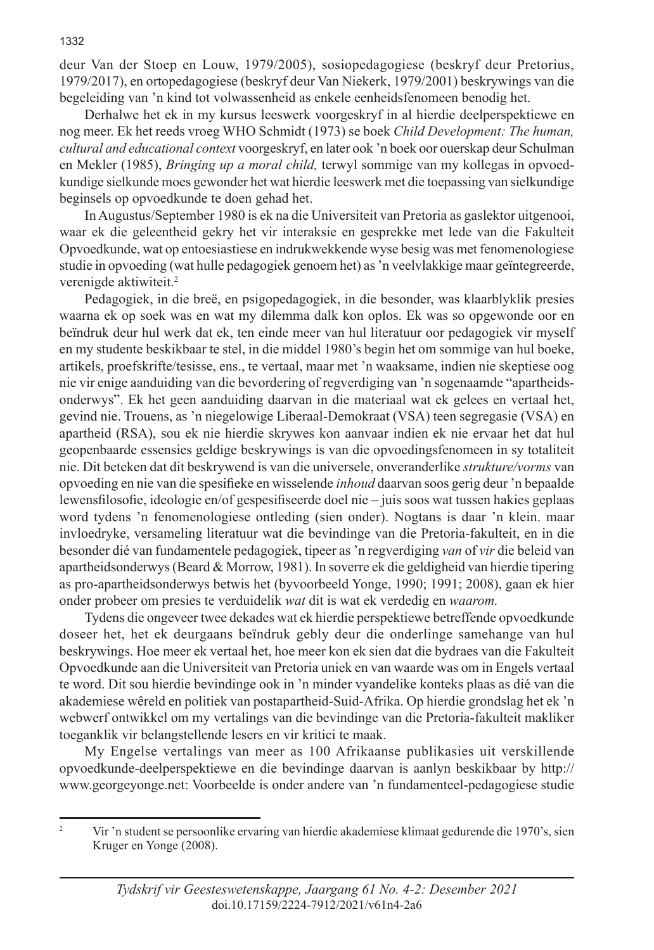deur Van der Stoep en Louw, 1979/2005), sosiopedagogiese (beskryf deur Pretorius, 1979/2017), en ortopedagogiese (beskryf deur Van Niekerk, 1979/2001) beskrywings van die begeleiding van 'n kind tot volwassenheid as enkele eenheidsfenomeen benodig het.

Derhalwe het ek in my kursus leeswerk voorgeskryf in al hierdie deelperspektiewe en nog meer. Ek het reeds vroeg WHO Schmidt (1973) se boek *Child Development: The human, cultural and educational context* voorgeskryf, en later ook 'n boek oor ouerskap deur Schulman en Mekler (1985), *Bringing up a moral child,* terwyl sommige van my kollegas in opvoedkundige sielkunde moes gewonder het wat hierdie leeswerk met die toepassing van sielkundige beginsels op opvoedkunde te doen gehad het.

In Augustus/September 1980 is ek na die Universiteit van Pretoria as gaslektor uitgenooi, waar ek die geleentheid gekry het vir interaksie en gesprekke met lede van die Fakulteit Opvoedkunde, wat op entoesiastiese en indrukwekkende wyse besig was met fenomenologiese studie in opvoeding (wat hulle pedagogiek genoem het) as 'n veelvlakkige maar geïntegreerde, verenigde aktiwiteit.<sup>2</sup>

Pedagogiek, in die breë, en psigopedagogiek, in die besonder, was klaarblyklik presies waarna ek op soek was en wat my dilemma dalk kon oplos. Ek was so opgewonde oor en beïndruk deur hul werk dat ek, ten einde meer van hul literatuur oor pedagogiek vir myself en my studente beskikbaar te stel, in die middel 1980's begin het om sommige van hul boeke, artikels, proefskrifte/tesisse, ens., te vertaal, maar met 'n waaksame, indien nie skeptiese oog nie vir enige aanduiding van die bevordering of regverdiging van 'n sogenaamde "apartheidsonderwys". Ek het geen aanduiding daarvan in die materiaal wat ek gelees en vertaal het, gevind nie. Trouens, as 'n niegelowige Liberaal-Demokraat (VSA) teen segregasie (VSA) en apartheid (RSA), sou ek nie hierdie skrywes kon aanvaar indien ek nie ervaar het dat hul geopenbaarde essensies geldige beskrywings is van die opvoedingsfenomeen in sy totaliteit nie. Dit beteken dat dit beskrywend is van die universele, onveranderlike *strukture/vorms* van opvoeding en nie van die spesifieke en wisselende *inhoud* daarvan soos gerig deur 'n bepaalde lewensfilosofie, ideologie en/of gespesifiseerde doel nie – juis soos wat tussen hakies geplaas word tydens 'n fenomenologiese ontleding (sien onder). Nogtans is daar 'n klein. maar invloedryke, versameling literatuur wat die bevindinge van die Pretoria-fakulteit, en in die besonder dié van fundamentele pedagogiek, tipeer as 'n regverdiging *van* of *vir* die beleid van apartheidsonderwys (Beard & Morrow, 1981). In soverre ek die geldigheid van hierdie tipering as pro-apartheidsonderwys betwis het (byvoorbeeld Yonge, 1990; 1991; 2008), gaan ek hier onder probeer om presies te verduidelik *wat* dit is wat ek verdedig en *waarom.*

Tydens die ongeveer twee dekades wat ek hierdie perspektiewe betreffende opvoedkunde doseer het, het ek deurgaans beïndruk gebly deur die onderlinge samehange van hul beskrywings. Hoe meer ek vertaal het, hoe meer kon ek sien dat die bydraes van die Fakulteit Opvoedkunde aan die Universiteit van Pretoria uniek en van waarde was om in Engels vertaal te word. Dit sou hierdie bevindinge ook in 'n minder vyandelike konteks plaas as dié van die akademiese wêreld en politiek van postapartheid-Suid-Afrika. Op hierdie grondslag het ek 'n webwerf ontwikkel om my vertalings van die bevindinge van die Pretoria-fakulteit makliker toeganklik vir belangstellende lesers en vir kritici te maak.

My Engelse vertalings van meer as 100 Afrikaanse publikasies uit verskillende opvoedkunde-deelperspektiewe en die bevindinge daarvan is aanlyn beskikbaar by http:// www.georgeyonge.net: Voorbeelde is onder andere van 'n fundamenteel-pedagogiese studie

<sup>&</sup>lt;sup>2</sup> Vir 'n student se persoonlike ervaring van hierdie akademiese klimaat gedurende die 1970's, sien Kruger en Yonge (2008).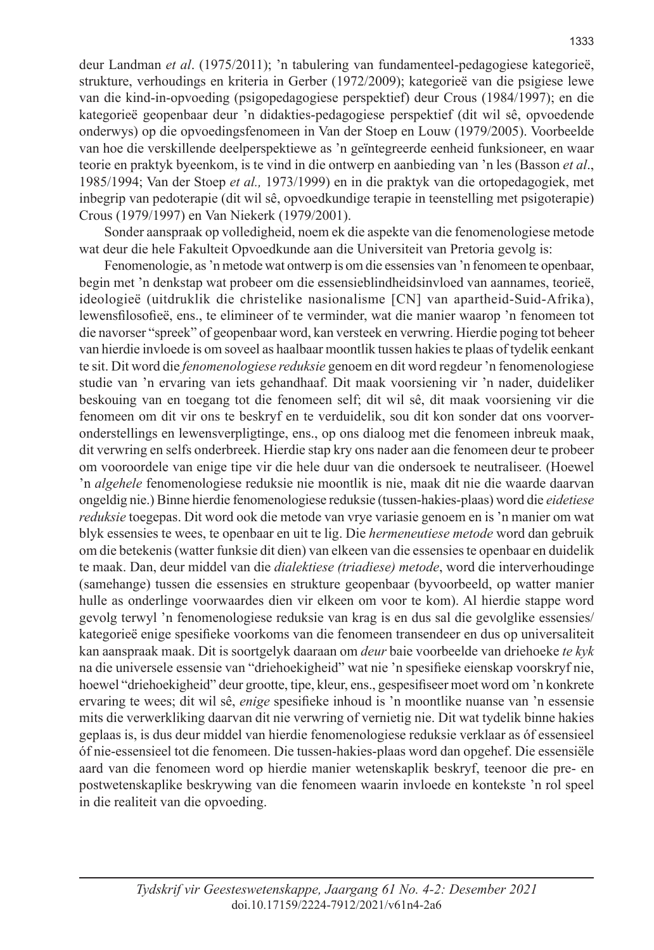deur Landman *et al*. (1975/2011); 'n tabulering van fundamenteel-pedagogiese kategorieë, strukture, verhoudings en kriteria in Gerber (1972/2009); kategorieë van die psigiese lewe van die kind-in-opvoeding (psigopedagogiese perspektief) deur Crous (1984/1997); en die kategorieë geopenbaar deur 'n didakties-pedagogiese perspektief (dit wil sê, opvoedende onderwys) op die opvoedingsfenomeen in Van der Stoep en Louw (1979/2005). Voorbeelde van hoe die verskillende deelperspektiewe as 'n geïntegreerde eenheid funksioneer, en waar teorie en praktyk byeenkom, is te vind in die ontwerp en aanbieding van 'n les (Basson *et al*., 1985/1994; Van der Stoep *et al.,* 1973/1999) en in die praktyk van die ortopedagogiek, met inbegrip van pedoterapie (dit wil sê, opvoedkundige terapie in teenstelling met psigoterapie) Crous (1979/1997) en Van Niekerk (1979/2001).

Sonder aanspraak op volledigheid, noem ek die aspekte van die fenomenologiese metode wat deur die hele Fakulteit Opvoedkunde aan die Universiteit van Pretoria gevolg is:

Fenomenologie, as 'n metode wat ontwerp is om die essensies van 'n fenomeen te openbaar, begin met 'n denkstap wat probeer om die essensieblindheidsinvloed van aannames, teorieë, ideologieë (uitdruklik die christelike nasionalisme [CN] van apartheid-Suid-Afrika), lewensfilosofieë, ens., te elimineer of te verminder, wat die manier waarop 'n fenomeen tot die navorser "spreek" of geopenbaar word, kan versteek en verwring. Hierdie poging tot beheer van hierdie invloede is om soveel as haalbaar moontlik tussen hakies te plaas of tydelik eenkant te sit. Dit word die *fenomenologiese reduksie* genoem en dit word regdeur 'n fenomenologiese studie van 'n ervaring van iets gehandhaaf. Dit maak voorsiening vir 'n nader, duideliker beskouing van en toegang tot die fenomeen self; dit wil sê, dit maak voorsiening vir die fenomeen om dit vir ons te beskryf en te verduidelik, sou dit kon sonder dat ons voorveronderstellings en lewensverpligtinge, ens., op ons dialoog met die fenomeen inbreuk maak, dit verwring en selfs onderbreek. Hierdie stap kry ons nader aan die fenomeen deur te probeer om vooroordele van enige tipe vir die hele duur van die ondersoek te neutraliseer. (Hoewel 'n *algehele* fenomenologiese reduksie nie moontlik is nie, maak dit nie die waarde daarvan ongeldig nie.) Binne hierdie fenomenologiese reduksie (tussen-hakies-plaas) word die *eidetiese reduksie* toegepas. Dit word ook die metode van vrye variasie genoem en is 'n manier om wat blyk essensies te wees, te openbaar en uit te lig. Die *hermeneutiese metode* word dan gebruik om die betekenis (watter funksie dit dien) van elkeen van die essensies te openbaar en duidelik te maak. Dan, deur middel van die *dialektiese (triadiese) metode*, word die interverhoudinge (samehange) tussen die essensies en strukture geopenbaar (byvoorbeeld, op watter manier hulle as onderlinge voorwaardes dien vir elkeen om voor te kom). Al hierdie stappe word gevolg terwyl 'n fenomenologiese reduksie van krag is en dus sal die gevolglike essensies/ kategorieë enige spesifieke voorkoms van die fenomeen transendeer en dus op universaliteit kan aanspraak maak. Dit is soortgelyk daaraan om *deur* baie voorbeelde van driehoeke *te kyk* na die universele essensie van "driehoekigheid" wat nie 'n spesifieke eienskap voorskryf nie, hoewel "driehoekigheid" deur grootte, tipe, kleur, ens., gespesifiseer moet word om 'n konkrete ervaring te wees; dit wil sê, *enige* spesifieke inhoud is 'n moontlike nuanse van 'n essensie mits die verwerkliking daarvan dit nie verwring of vernietig nie. Dit wat tydelik binne hakies geplaas is, is dus deur middel van hierdie fenomenologiese reduksie verklaar as óf essensieel óf nie-essensieel tot die fenomeen. Die tussen-hakies-plaas word dan opgehef. Die essensiële aard van die fenomeen word op hierdie manier wetenskaplik beskryf, teenoor die pre- en postwetenskaplike beskrywing van die fenomeen waarin invloede en kontekste 'n rol speel in die realiteit van die opvoeding.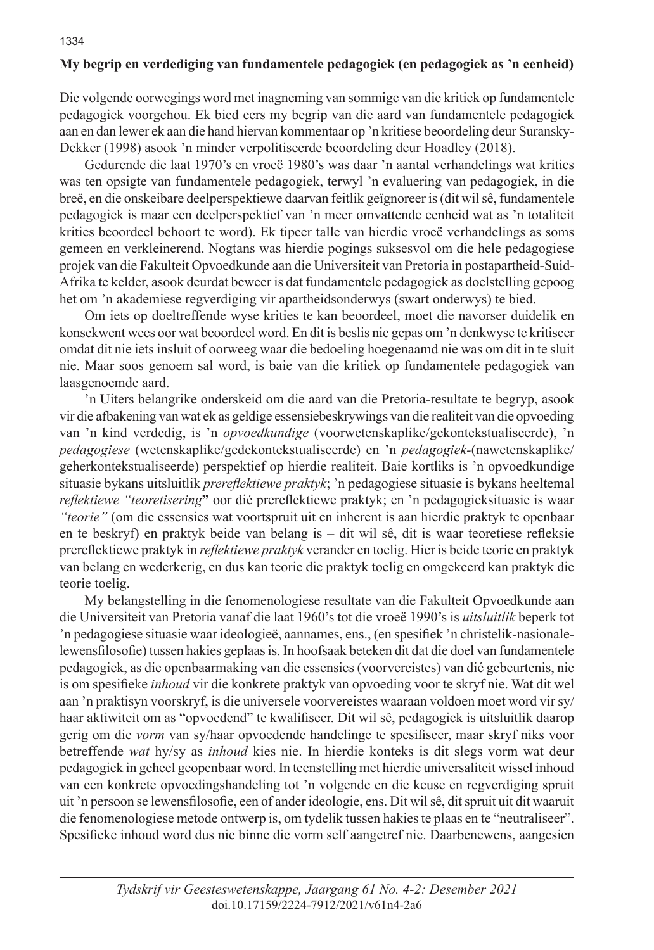# **My begrip en verdediging van fundamentele pedagogiek (en pedagogiek as 'n eenheid)**

Die volgende oorwegings word met inagneming van sommige van die kritiek op fundamentele pedagogiek voorgehou. Ek bied eers my begrip van die aard van fundamentele pedagogiek aan en dan lewer ek aan die hand hiervan kommentaar op 'n kritiese beoordeling deur Suransky-Dekker (1998) asook 'n minder verpolitiseerde beoordeling deur Hoadley (2018).

Gedurende die laat 1970's en vroeë 1980's was daar 'n aantal verhandelings wat krities was ten opsigte van fundamentele pedagogiek, terwyl 'n evaluering van pedagogiek, in die breë, en die onskeibare deelperspektiewe daarvan feitlik geïgnoreer is (dit wil sê, fundamentele pedagogiek is maar een deelperspektief van 'n meer omvattende eenheid wat as 'n totaliteit krities beoordeel behoort te word). Ek tipeer talle van hierdie vroeë verhandelings as soms gemeen en verkleinerend. Nogtans was hierdie pogings suksesvol om die hele pedagogiese projek van die Fakulteit Opvoedkunde aan die Universiteit van Pretoria in postapartheid-Suid-Afrika te kelder, asook deurdat beweer is dat fundamentele pedagogiek as doelstelling gepoog het om 'n akademiese regverdiging vir apartheidsonderwys (swart onderwys) te bied.

Om iets op doeltreffende wyse krities te kan beoordeel, moet die navorser duidelik en konsekwent wees oor wat beoordeel word. En dit is beslis nie gepas om 'n denkwyse te kritiseer omdat dit nie iets insluit of oorweeg waar die bedoeling hoegenaamd nie was om dit in te sluit nie. Maar soos genoem sal word, is baie van die kritiek op fundamentele pedagogiek van laasgenoemde aard.

'n Uiters belangrike onderskeid om die aard van die Pretoria-resultate te begryp, asook vir die afbakening van wat ek as geldige essensiebeskrywings van die realiteit van die opvoeding van 'n kind verdedig, is 'n *opvoedkundige* (voorwetenskaplike/gekontekstualiseerde), 'n *pedagogiese* (wetenskaplike/gedekontekstualiseerde) en 'n *pedagogiek-*(nawetenskaplike/ geherkontekstualiseerde) perspektief op hierdie realiteit. Baie kortliks is 'n opvoedkundige situasie bykans uitsluitlik *prereflektiewe praktyk*; 'n pedagogiese situasie is bykans heeltemal *reflektiewe "teoretisering***"** oor dié prereflektiewe praktyk; en 'n pedagogieksituasie is waar *"teorie"* (om die essensies wat voortspruit uit en inherent is aan hierdie praktyk te openbaar en te beskryf) en praktyk beide van belang is – dit wil sê, dit is waar teoretiese refleksie prereflektiewe praktyk in *reflektiewe praktyk* verander en toelig. Hier is beide teorie en praktyk van belang en wederkerig, en dus kan teorie die praktyk toelig en omgekeerd kan praktyk die teorie toelig.

My belangstelling in die fenomenologiese resultate van die Fakulteit Opvoedkunde aan die Universiteit van Pretoria vanaf die laat 1960's tot die vroeë 1990's is *uitsluitlik* beperk tot 'n pedagogiese situasie waar ideologieë, aannames, ens., (en spesifiek 'n christelik-nasionalelewensfilosofie) tussen hakies geplaas is. In hoofsaak beteken dit dat die doel van fundamentele pedagogiek, as die openbaarmaking van die essensies (voorvereistes) van dié gebeurtenis, nie is om spesifieke *inhoud* vir die konkrete praktyk van opvoeding voor te skryf nie. Wat dit wel aan 'n praktisyn voorskryf, is die universele voorvereistes waaraan voldoen moet word vir sy/ haar aktiwiteit om as "opvoedend" te kwalifiseer. Dit wil sê, pedagogiek is uitsluitlik daarop gerig om die *vorm* van sy/haar opvoedende handelinge te spesifiseer, maar skryf niks voor betreffende *wat* hy/sy as *inhoud* kies nie. In hierdie konteks is dit slegs vorm wat deur pedagogiek in geheel geopenbaar word. In teenstelling met hierdie universaliteit wissel inhoud van een konkrete opvoedingshandeling tot 'n volgende en die keuse en regverdiging spruit uit 'n persoon se lewensfilosofie, een of ander ideologie, ens. Dit wil sê, dit spruit uit dit waaruit die fenomenologiese metode ontwerp is, om tydelik tussen hakies te plaas en te "neutraliseer". Spesifieke inhoud word dus nie binne die vorm self aangetref nie. Daarbenewens, aangesien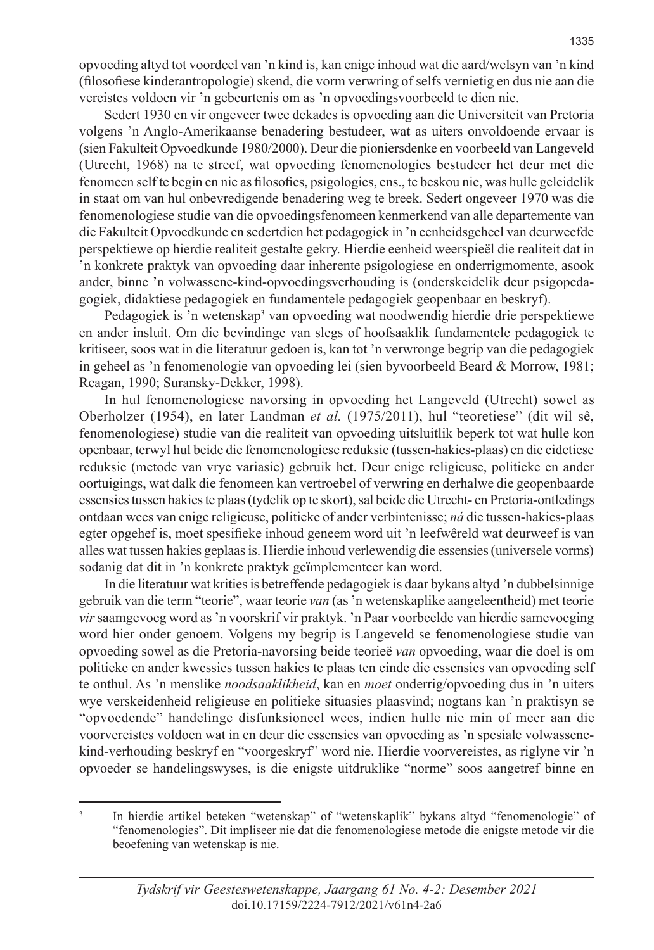Sedert 1930 en vir ongeveer twee dekades is opvoeding aan die Universiteit van Pretoria volgens 'n Anglo-Amerikaanse benadering bestudeer, wat as uiters onvoldoende ervaar is (sien Fakulteit Opvoedkunde 1980/2000). Deur die pioniersdenke en voorbeeld van Langeveld (Utrecht, 1968) na te streef, wat opvoeding fenomenologies bestudeer het deur met die fenomeen self te begin en nie as filosofies, psigologies, ens., te beskou nie, was hulle geleidelik in staat om van hul onbevredigende benadering weg te breek. Sedert ongeveer 1970 was die fenomenologiese studie van die opvoedingsfenomeen kenmerkend van alle departemente van die Fakulteit Opvoedkunde en sedertdien het pedagogiek in 'n eenheidsgeheel van deurweefde perspektiewe op hierdie realiteit gestalte gekry. Hierdie eenheid weerspieël die realiteit dat in 'n konkrete praktyk van opvoeding daar inherente psigologiese en onderrigmomente, asook ander, binne 'n volwassene-kind-opvoedingsverhouding is (onderskeidelik deur psigopedagogiek, didaktiese pedagogiek en fundamentele pedagogiek geopenbaar en beskryf).

Pedagogiek is 'n wetenskap<sup>3</sup> van opvoeding wat noodwendig hierdie drie perspektiewe en ander insluit. Om die bevindinge van slegs of hoofsaaklik fundamentele pedagogiek te kritiseer, soos wat in die literatuur gedoen is, kan tot 'n verwronge begrip van die pedagogiek in geheel as 'n fenomenologie van opvoeding lei (sien byvoorbeeld Beard & Morrow, 1981; Reagan, 1990; Suransky-Dekker, 1998).

In hul fenomenologiese navorsing in opvoeding het Langeveld (Utrecht) sowel as Oberholzer (1954), en later Landman *et al.* (1975/2011), hul "teoretiese" (dit wil sê, fenomenologiese) studie van die realiteit van opvoeding uitsluitlik beperk tot wat hulle kon openbaar, terwyl hul beide die fenomenologiese reduksie (tussen-hakies-plaas) en die eidetiese reduksie (metode van vrye variasie) gebruik het. Deur enige religieuse, politieke en ander oortuigings, wat dalk die fenomeen kan vertroebel of verwring en derhalwe die geopenbaarde essensies tussen hakies te plaas (tydelik op te skort), sal beide die Utrecht- en Pretoria-ontledings ontdaan wees van enige religieuse, politieke of ander verbintenisse; *ná* die tussen-hakies-plaas egter opgehef is, moet spesifieke inhoud geneem word uit 'n leefwêreld wat deurweef is van alles wat tussen hakies geplaas is. Hierdie inhoud verlewendig die essensies (universele vorms) sodanig dat dit in 'n konkrete praktyk geïmplementeer kan word.

In die literatuur wat krities is betreffende pedagogiek is daar bykans altyd 'n dubbelsinnige gebruik van die term "teorie", waar teorie *van* (as 'n wetenskaplike aangeleentheid) met teorie *vir* saamgevoeg word as 'n voorskrif vir praktyk. 'n Paar voorbeelde van hierdie samevoeging word hier onder genoem. Volgens my begrip is Langeveld se fenomenologiese studie van opvoeding sowel as die Pretoria-navorsing beide teorieë *van* opvoeding, waar die doel is om politieke en ander kwessies tussen hakies te plaas ten einde die essensies van opvoeding self te onthul. As 'n menslike *noodsaaklikheid*, kan en *moet* onderrig/opvoeding dus in 'n uiters wye verskeidenheid religieuse en politieke situasies plaasvind; nogtans kan 'n praktisyn se "opvoedende" handelinge disfunksioneel wees, indien hulle nie min of meer aan die voorvereistes voldoen wat in en deur die essensies van opvoeding as 'n spesiale volwassenekind-verhouding beskryf en "voorgeskryf" word nie. Hierdie voorvereistes, as riglyne vir 'n opvoeder se handelingswyses, is die enigste uitdruklike "norme" soos aangetref binne en

<sup>&</sup>lt;sup>3</sup> In hierdie artikel beteken "wetenskap" of "wetenskaplik" bykans altyd "fenomenologie" of "fenomenologies". Dit impliseer nie dat die fenomenologiese metode die enigste metode vir die beoefening van wetenskap is nie.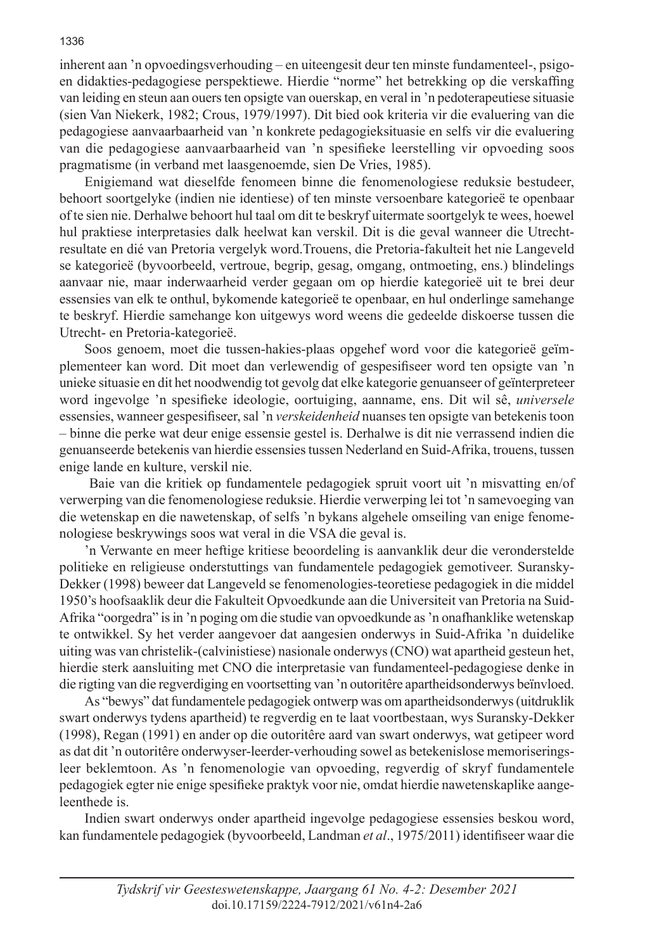inherent aan 'n opvoedingsverhouding – en uiteengesit deur ten minste fundamenteel-, psigoen didakties-pedagogiese perspektiewe. Hierdie "norme" het betrekking op die verskaffing van leiding en steun aan ouers ten opsigte van ouerskap, en veral in 'n pedoterapeutiese situasie (sien Van Niekerk, 1982; Crous, 1979/1997). Dit bied ook kriteria vir die evaluering van die pedagogiese aanvaarbaarheid van 'n konkrete pedagogieksituasie en selfs vir die evaluering van die pedagogiese aanvaarbaarheid van 'n spesifieke leerstelling vir opvoeding soos pragmatisme (in verband met laasgenoemde, sien De Vries, 1985).

Enigiemand wat dieselfde fenomeen binne die fenomenologiese reduksie bestudeer, behoort soortgelyke (indien nie identiese) of ten minste versoenbare kategorieë te openbaar of te sien nie. Derhalwe behoort hul taal om dit te beskryf uitermate soortgelyk te wees, hoewel hul praktiese interpretasies dalk heelwat kan verskil. Dit is die geval wanneer die Utrechtresultate en dié van Pretoria vergelyk word.Trouens, die Pretoria-fakulteit het nie Langeveld se kategorieë (byvoorbeeld, vertroue, begrip, gesag, omgang, ontmoeting, ens.) blindelings aanvaar nie, maar inderwaarheid verder gegaan om op hierdie kategorieë uit te brei deur essensies van elk te onthul, bykomende kategorieë te openbaar, en hul onderlinge samehange te beskryf. Hierdie samehange kon uitgewys word weens die gedeelde diskoerse tussen die Utrecht- en Pretoria-kategorieë.

Soos genoem, moet die tussen-hakies-plaas opgehef word voor die kategorieë geïmplementeer kan word. Dit moet dan verlewendig of gespesifiseer word ten opsigte van 'n unieke situasie en dit het noodwendig tot gevolg dat elke kategorie genuanseer of geïnterpreteer word ingevolge 'n spesifieke ideologie, oortuiging, aanname, ens. Dit wil sê, *universele*  essensies, wanneer gespesifiseer, sal 'n *verskeidenheid* nuanses ten opsigte van betekenis toon – binne die perke wat deur enige essensie gestel is. Derhalwe is dit nie verrassend indien die genuanseerde betekenis van hierdie essensies tussen Nederland en Suid-Afrika, trouens, tussen enige lande en kulture, verskil nie.

 Baie van die kritiek op fundamentele pedagogiek spruit voort uit 'n misvatting en/of verwerping van die fenomenologiese reduksie. Hierdie verwerping lei tot 'n samevoeging van die wetenskap en die nawetenskap, of selfs 'n bykans algehele omseiling van enige fenomenologiese beskrywings soos wat veral in die VSA die geval is.

'n Verwante en meer heftige kritiese beoordeling is aanvanklik deur die veronderstelde politieke en religieuse onderstuttings van fundamentele pedagogiek gemotiveer. Suransky-Dekker (1998) beweer dat Langeveld se fenomenologies-teoretiese pedagogiek in die middel 1950's hoofsaaklik deur die Fakulteit Opvoedkunde aan die Universiteit van Pretoria na Suid-Afrika "oorgedra" is in 'n poging om die studie van opvoedkunde as 'n onafhanklike wetenskap te ontwikkel. Sy het verder aangevoer dat aangesien onderwys in Suid-Afrika 'n duidelike uiting was van christelik-(calvinistiese) nasionale onderwys (CNO) wat apartheid gesteun het, hierdie sterk aansluiting met CNO die interpretasie van fundamenteel-pedagogiese denke in die rigting van die regverdiging en voortsetting van 'n outoritêre apartheidsonderwys beïnvloed.

As "bewys" dat fundamentele pedagogiek ontwerp was om apartheidsonderwys (uitdruklik swart onderwys tydens apartheid) te regverdig en te laat voortbestaan, wys Suransky-Dekker (1998), Regan (1991) en ander op die outoritêre aard van swart onderwys, wat getipeer word as dat dit 'n outoritêre onderwyser-leerder-verhouding sowel as betekenislose memoriseringsleer beklemtoon. As 'n fenomenologie van opvoeding, regverdig of skryf fundamentele pedagogiek egter nie enige spesifieke praktyk voor nie, omdat hierdie nawetenskaplike aangeleenthede is.

Indien swart onderwys onder apartheid ingevolge pedagogiese essensies beskou word, kan fundamentele pedagogiek (byvoorbeeld, Landman *et al*., 1975/2011) identifiseer waar die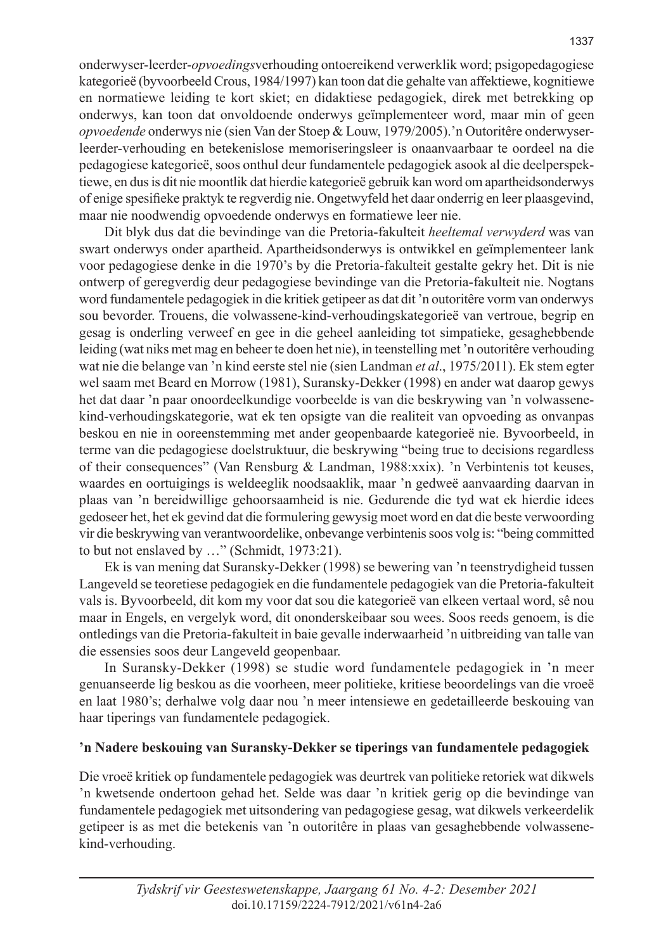onderwyser-leerder-*opvoedings*verhouding ontoereikend verwerklik word; psigopedagogiese kategorieë (byvoorbeeld Crous, 1984/1997) kan toon dat die gehalte van affektiewe, kognitiewe en normatiewe leiding te kort skiet; en didaktiese pedagogiek, direk met betrekking op onderwys, kan toon dat onvoldoende onderwys geïmplementeer word, maar min of geen *opvoedende* onderwys nie (sien Van der Stoep & Louw, 1979/2005).'n Outoritêre onderwyserleerder-verhouding en betekenislose memoriseringsleer is onaanvaarbaar te oordeel na die pedagogiese kategorieë, soos onthul deur fundamentele pedagogiek asook al die deelperspektiewe, en dus is dit nie moontlik dat hierdie kategorieë gebruik kan word om apartheidsonderwys of enige spesifieke praktyk te regverdig nie. Ongetwyfeld het daar onderrig en leer plaasgevind, maar nie noodwendig opvoedende onderwys en formatiewe leer nie.

Dit blyk dus dat die bevindinge van die Pretoria-fakulteit *heeltemal verwyderd* was van swart onderwys onder apartheid. Apartheidsonderwys is ontwikkel en geïmplementeer lank voor pedagogiese denke in die 1970's by die Pretoria-fakulteit gestalte gekry het. Dit is nie ontwerp of geregverdig deur pedagogiese bevindinge van die Pretoria-fakulteit nie. Nogtans word fundamentele pedagogiek in die kritiek getipeer as dat dit 'n outoritêre vorm van onderwys sou bevorder. Trouens, die volwassene-kind-verhoudingskategorieë van vertroue, begrip en gesag is onderling verweef en gee in die geheel aanleiding tot simpatieke, gesaghebbende leiding (wat niks met mag en beheer te doen het nie), in teenstelling met 'n outoritêre verhouding wat nie die belange van 'n kind eerste stel nie (sien Landman *et al*., 1975/2011). Ek stem egter wel saam met Beard en Morrow (1981), Suransky-Dekker (1998) en ander wat daarop gewys het dat daar 'n paar onoordeelkundige voorbeelde is van die beskrywing van 'n volwassenekind-verhoudingskategorie, wat ek ten opsigte van die realiteit van opvoeding as onvanpas beskou en nie in ooreenstemming met ander geopenbaarde kategorieë nie. Byvoorbeeld, in terme van die pedagogiese doelstruktuur, die beskrywing "being true to decisions regardless of their consequences" (Van Rensburg & Landman, 1988:xxix). 'n Verbintenis tot keuses, waardes en oortuigings is weldeeglik noodsaaklik, maar 'n gedweë aanvaarding daarvan in plaas van 'n bereidwillige gehoorsaamheid is nie. Gedurende die tyd wat ek hierdie idees gedoseer het, het ek gevind dat die formulering gewysig moet word en dat die beste verwoording vir die beskrywing van verantwoordelike, onbevange verbintenis soos volg is: "being committed to but not enslaved by …" (Schmidt, 1973:21).

Ek is van mening dat Suransky-Dekker (1998) se bewering van 'n teenstrydigheid tussen Langeveld se teoretiese pedagogiek en die fundamentele pedagogiek van die Pretoria-fakulteit vals is. Byvoorbeeld, dit kom my voor dat sou die kategorieë van elkeen vertaal word, sê nou maar in Engels, en vergelyk word, dit ononderskeibaar sou wees. Soos reeds genoem, is die ontledings van die Pretoria-fakulteit in baie gevalle inderwaarheid 'n uitbreiding van talle van die essensies soos deur Langeveld geopenbaar.

In Suransky-Dekker (1998) se studie word fundamentele pedagogiek in 'n meer genuanseerde lig beskou as die voorheen, meer politieke, kritiese beoordelings van die vroeë en laat 1980's; derhalwe volg daar nou 'n meer intensiewe en gedetailleerde beskouing van haar tiperings van fundamentele pedagogiek.

### **'n Nadere beskouing van Suransky-Dekker se tiperings van fundamentele pedagogiek**

Die vroeë kritiek op fundamentele pedagogiek was deurtrek van politieke retoriek wat dikwels 'n kwetsende ondertoon gehad het. Selde was daar 'n kritiek gerig op die bevindinge van fundamentele pedagogiek met uitsondering van pedagogiese gesag, wat dikwels verkeerdelik getipeer is as met die betekenis van 'n outoritêre in plaas van gesaghebbende volwassenekind-verhouding.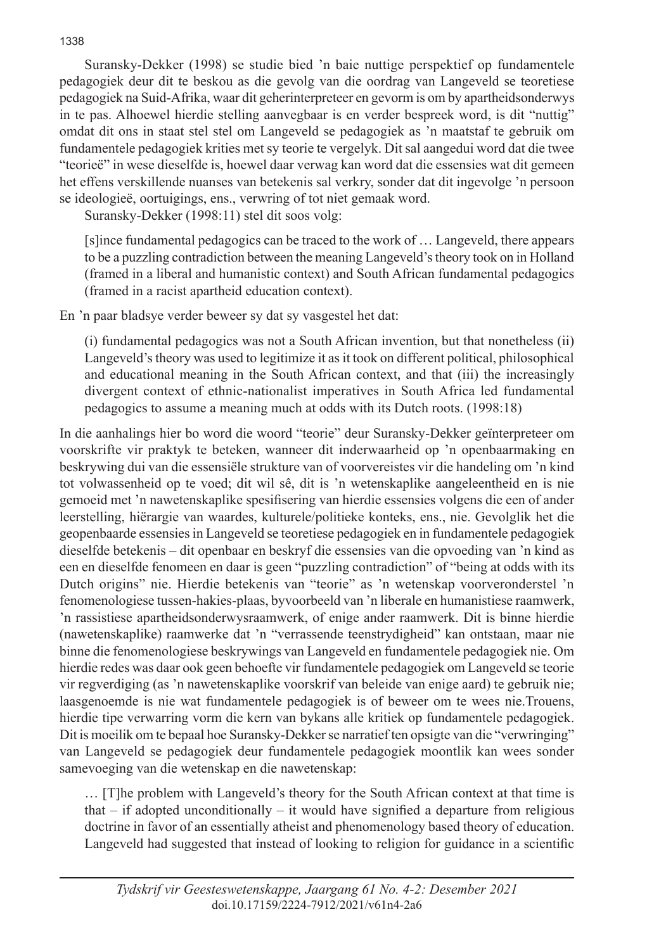Suransky-Dekker (1998) se studie bied 'n baie nuttige perspektief op fundamentele pedagogiek deur dit te beskou as die gevolg van die oordrag van Langeveld se teoretiese pedagogiek na Suid-Afrika, waar dit geherinterpreteer en gevorm is om by apartheidsonderwys in te pas. Alhoewel hierdie stelling aanvegbaar is en verder bespreek word, is dit "nuttig" omdat dit ons in staat stel stel om Langeveld se pedagogiek as 'n maatstaf te gebruik om fundamentele pedagogiek krities met sy teorie te vergelyk. Dit sal aangedui word dat die twee "teorieë" in wese dieselfde is, hoewel daar verwag kan word dat die essensies wat dit gemeen het effens verskillende nuanses van betekenis sal verkry, sonder dat dit ingevolge 'n persoon se ideologieë, oortuigings, ens., verwring of tot niet gemaak word.

Suransky-Dekker (1998:11) stel dit soos volg:

[s]ince fundamental pedagogics can be traced to the work of … Langeveld, there appears to be a puzzling contradiction between the meaning Langeveld's theory took on in Holland (framed in a liberal and humanistic context) and South African fundamental pedagogics (framed in a racist apartheid education context).

En 'n paar bladsye verder beweer sy dat sy vasgestel het dat:

(i) fundamental pedagogics was not a South African invention, but that nonetheless (ii) Langeveld's theory was used to legitimize it as it took on different political, philosophical and educational meaning in the South African context, and that (iii) the increasingly divergent context of ethnic-nationalist imperatives in South Africa led fundamental pedagogics to assume a meaning much at odds with its Dutch roots. (1998:18)

In die aanhalings hier bo word die woord "teorie" deur Suransky-Dekker geïnterpreteer om voorskrifte vir praktyk te beteken, wanneer dit inderwaarheid op 'n openbaarmaking en beskrywing dui van die essensiële strukture van of voorvereistes vir die handeling om 'n kind tot volwassenheid op te voed; dit wil sê, dit is 'n wetenskaplike aangeleentheid en is nie gemoeid met 'n nawetenskaplike spesifisering van hierdie essensies volgens die een of ander leerstelling, hiërargie van waardes, kulturele/politieke konteks, ens., nie. Gevolglik het die geopenbaarde essensies in Langeveld se teoretiese pedagogiek en in fundamentele pedagogiek dieselfde betekenis – dit openbaar en beskryf die essensies van die opvoeding van 'n kind as een en dieselfde fenomeen en daar is geen "puzzling contradiction" of "being at odds with its Dutch origins" nie. Hierdie betekenis van "teorie" as 'n wetenskap voorveronderstel 'n fenomenologiese tussen-hakies-plaas, byvoorbeeld van 'n liberale en humanistiese raamwerk, 'n rassistiese apartheidsonderwysraamwerk, of enige ander raamwerk. Dit is binne hierdie (nawetenskaplike) raamwerke dat 'n "verrassende teenstrydigheid" kan ontstaan, maar nie binne die fenomenologiese beskrywings van Langeveld en fundamentele pedagogiek nie. Om hierdie redes was daar ook geen behoefte vir fundamentele pedagogiek om Langeveld se teorie vir regverdiging (as 'n nawetenskaplike voorskrif van beleide van enige aard) te gebruik nie; laasgenoemde is nie wat fundamentele pedagogiek is of beweer om te wees nie.Trouens, hierdie tipe verwarring vorm die kern van bykans alle kritiek op fundamentele pedagogiek. Dit is moeilik om te bepaal hoe Suransky-Dekker se narratief ten opsigte van die "verwringing" van Langeveld se pedagogiek deur fundamentele pedagogiek moontlik kan wees sonder samevoeging van die wetenskap en die nawetenskap:

… [T]he problem with Langeveld's theory for the South African context at that time is that  $-$  if adopted unconditionally  $-$  it would have signified a departure from religious doctrine in favor of an essentially atheist and phenomenology based theory of education. Langeveld had suggested that instead of looking to religion for guidance in a scientific

1338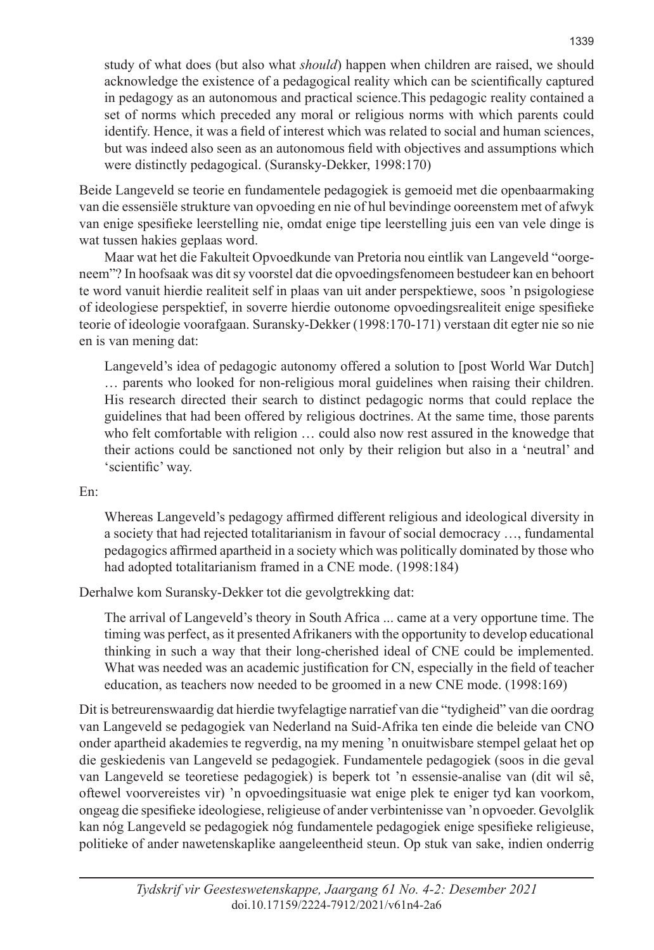study of what does (but also what *should*) happen when children are raised, we should acknowledge the existence of a pedagogical reality which can be scientifically captured in pedagogy as an autonomous and practical science.This pedagogic reality contained a set of norms which preceded any moral or religious norms with which parents could identify. Hence, it was a field of interest which was related to social and human sciences, but was indeed also seen as an autonomous field with objectives and assumptions which were distinctly pedagogical. (Suransky-Dekker, 1998:170)

Beide Langeveld se teorie en fundamentele pedagogiek is gemoeid met die openbaarmaking van die essensiële strukture van opvoeding en nie of hul bevindinge ooreenstem met of afwyk van enige spesifieke leerstelling nie, omdat enige tipe leerstelling juis een van vele dinge is wat tussen hakies geplaas word.

Maar wat het die Fakulteit Opvoedkunde van Pretoria nou eintlik van Langeveld "oorgeneem"? In hoofsaak was dit sy voorstel dat die opvoedingsfenomeen bestudeer kan en behoort te word vanuit hierdie realiteit self in plaas van uit ander perspektiewe, soos 'n psigologiese of ideologiese perspektief, in soverre hierdie outonome opvoedingsrealiteit enige spesifieke teorie of ideologie voorafgaan. Suransky-Dekker (1998:170-171) verstaan dit egter nie so nie en is van mening dat:

Langeveld's idea of pedagogic autonomy offered a solution to [post World War Dutch] … parents who looked for non-religious moral guidelines when raising their children. His research directed their search to distinct pedagogic norms that could replace the guidelines that had been offered by religious doctrines. At the same time, those parents who felt comfortable with religion … could also now rest assured in the knowedge that their actions could be sanctioned not only by their religion but also in a 'neutral' and 'scientific' way.

#### En:

Whereas Langeveld's pedagogy affirmed different religious and ideological diversity in a society that had rejected totalitarianism in favour of social democracy …, fundamental pedagogics affirmed apartheid in a society which was politically dominated by those who had adopted totalitarianism framed in a CNE mode. (1998:184)

Derhalwe kom Suransky-Dekker tot die gevolgtrekking dat:

The arrival of Langeveld's theory in South Africa ... came at a very opportune time. The timing was perfect, as it presented Afrikaners with the opportunity to develop educational thinking in such a way that their long-cherished ideal of CNE could be implemented. What was needed was an academic justification for CN, especially in the field of teacher education, as teachers now needed to be groomed in a new CNE mode. (1998:169)

Dit is betreurenswaardig dat hierdie twyfelagtige narratief van die "tydigheid" van die oordrag van Langeveld se pedagogiek van Nederland na Suid-Afrika ten einde die beleide van CNO onder apartheid akademies te regverdig, na my mening 'n onuitwisbare stempel gelaat het op die geskiedenis van Langeveld se pedagogiek. Fundamentele pedagogiek (soos in die geval van Langeveld se teoretiese pedagogiek) is beperk tot 'n essensie-analise van (dit wil sê, oftewel voorvereistes vir) 'n opvoedingsituasie wat enige plek te eniger tyd kan voorkom, ongeag die spesifieke ideologiese, religieuse of ander verbintenisse van 'n opvoeder. Gevolglik kan nóg Langeveld se pedagogiek nóg fundamentele pedagogiek enige spesifieke religieuse, politieke of ander nawetenskaplike aangeleentheid steun. Op stuk van sake, indien onderrig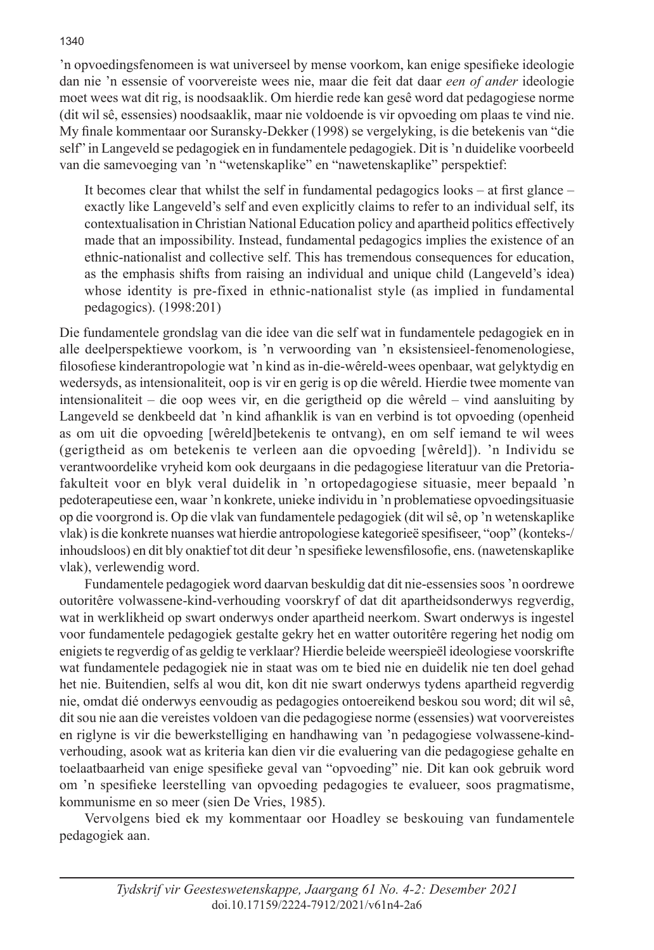'n opvoedingsfenomeen is wat universeel by mense voorkom, kan enige spesifieke ideologie dan nie 'n essensie of voorvereiste wees nie, maar die feit dat daar *een of ander* ideologie moet wees wat dit rig, is noodsaaklik. Om hierdie rede kan gesê word dat pedagogiese norme (dit wil sê, essensies) noodsaaklik, maar nie voldoende is vir opvoeding om plaas te vind nie. My finale kommentaar oor Suransky-Dekker (1998) se vergelyking, is die betekenis van "die self" in Langeveld se pedagogiek en in fundamentele pedagogiek. Dit is 'n duidelike voorbeeld van die samevoeging van 'n "wetenskaplike" en "nawetenskaplike" perspektief:

It becomes clear that whilst the self in fundamental pedagogics looks – at first glance – exactly like Langeveld's self and even explicitly claims to refer to an individual self, its contextualisation in Christian National Education policy and apartheid politics effectively made that an impossibility. Instead, fundamental pedagogics implies the existence of an ethnic-nationalist and collective self. This has tremendous consequences for education, as the emphasis shifts from raising an individual and unique child (Langeveld's idea) whose identity is pre-fixed in ethnic-nationalist style (as implied in fundamental pedagogics). (1998:201)

Die fundamentele grondslag van die idee van die self wat in fundamentele pedagogiek en in alle deelperspektiewe voorkom, is 'n verwoording van 'n eksistensieel-fenomenologiese, filosofiese kinderantropologie wat 'n kind as in-die-wêreld-wees openbaar, wat gelyktydig en wedersyds, as intensionaliteit, oop is vir en gerig is op die wêreld. Hierdie twee momente van intensionaliteit – die oop wees vir, en die gerigtheid op die wêreld – vind aansluiting by Langeveld se denkbeeld dat 'n kind afhanklik is van en verbind is tot opvoeding (openheid as om uit die opvoeding [wêreld]betekenis te ontvang), en om self iemand te wil wees (gerigtheid as om betekenis te verleen aan die opvoeding [wêreld]). 'n Individu se verantwoordelike vryheid kom ook deurgaans in die pedagogiese literatuur van die Pretoriafakulteit voor en blyk veral duidelik in 'n ortopedagogiese situasie, meer bepaald 'n pedoterapeutiese een, waar 'n konkrete, unieke individu in 'n problematiese opvoedingsituasie op die voorgrond is. Op die vlak van fundamentele pedagogiek (dit wil sê, op 'n wetenskaplike vlak) is die konkrete nuanses wat hierdie antropologiese kategorieë spesifiseer, "oop" (konteks-/ inhoudsloos) en dit bly onaktief tot dit deur 'n spesifieke lewensfilosofie, ens. (nawetenskaplike vlak), verlewendig word.

Fundamentele pedagogiek word daarvan beskuldig dat dit nie-essensies soos 'n oordrewe outoritêre volwassene-kind-verhouding voorskryf of dat dit apartheidsonderwys regverdig, wat in werklikheid op swart onderwys onder apartheid neerkom. Swart onderwys is ingestel voor fundamentele pedagogiek gestalte gekry het en watter outoritêre regering het nodig om enigiets te regverdig of as geldig te verklaar? Hierdie beleide weerspieël ideologiese voorskrifte wat fundamentele pedagogiek nie in staat was om te bied nie en duidelik nie ten doel gehad het nie. Buitendien, selfs al wou dit, kon dit nie swart onderwys tydens apartheid regverdig nie, omdat dié onderwys eenvoudig as pedagogies ontoereikend beskou sou word; dit wil sê, dit sou nie aan die vereistes voldoen van die pedagogiese norme (essensies) wat voorvereistes en riglyne is vir die bewerkstelliging en handhawing van 'n pedagogiese volwassene-kindverhouding, asook wat as kriteria kan dien vir die evaluering van die pedagogiese gehalte en toelaatbaarheid van enige spesifieke geval van "opvoeding" nie. Dit kan ook gebruik word om 'n spesifieke leerstelling van opvoeding pedagogies te evalueer, soos pragmatisme, kommunisme en so meer (sien De Vries, 1985).

Vervolgens bied ek my kommentaar oor Hoadley se beskouing van fundamentele pedagogiek aan.

### 1340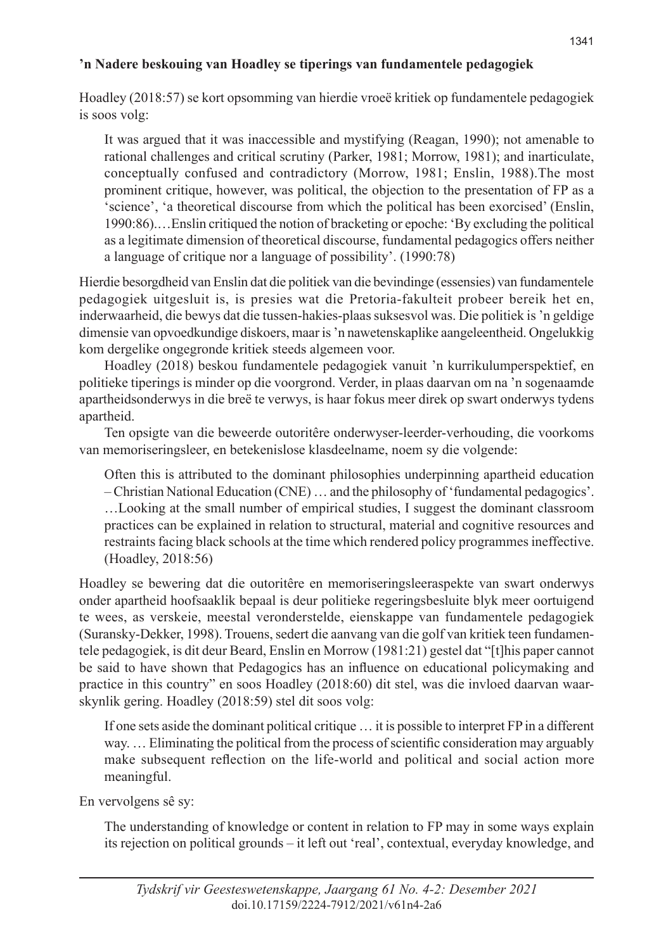# **'n Nadere beskouing van Hoadley se tiperings van fundamentele pedagogiek**

Hoadley (2018:57) se kort opsomming van hierdie vroeë kritiek op fundamentele pedagogiek is soos volg:

It was argued that it was inaccessible and mystifying (Reagan, 1990); not amenable to rational challenges and critical scrutiny (Parker, 1981; Morrow, 1981); and inarticulate, conceptually confused and contradictory (Morrow, 1981; Enslin, 1988).The most prominent critique, however, was political, the objection to the presentation of FP as a 'science', 'a theoretical discourse from which the political has been exorcised' (Enslin, 1990:86).…Enslin critiqued the notion of bracketing or epoche: 'By excluding the political as a legitimate dimension of theoretical discourse, fundamental pedagogics offers neither a language of critique nor a language of possibility'. (1990:78)

Hierdie besorgdheid van Enslin dat die politiek van die bevindinge (essensies) van fundamentele pedagogiek uitgesluit is, is presies wat die Pretoria-fakulteit probeer bereik het en, inderwaarheid, die bewys dat die tussen-hakies-plaas suksesvol was. Die politiek is 'n geldige dimensie van opvoedkundige diskoers, maar is 'n nawetenskaplike aangeleentheid. Ongelukkig kom dergelike ongegronde kritiek steeds algemeen voor.

Hoadley (2018) beskou fundamentele pedagogiek vanuit 'n kurrikulumperspektief, en politieke tiperings is minder op die voorgrond. Verder, in plaas daarvan om na 'n sogenaamde apartheidsonderwys in die breë te verwys, is haar fokus meer direk op swart onderwys tydens apartheid.

Ten opsigte van die beweerde outoritêre onderwyser-leerder-verhouding, die voorkoms van memoriseringsleer, en betekenislose klasdeelname, noem sy die volgende:

Often this is attributed to the dominant philosophies underpinning apartheid education – Christian National Education (CNE) … and the philosophy of 'fundamental pedagogics'. …Looking at the small number of empirical studies, I suggest the dominant classroom practices can be explained in relation to structural, material and cognitive resources and restraints facing black schools at the time which rendered policy programmes ineffective. (Hoadley, 2018:56)

Hoadley se bewering dat die outoritêre en memoriseringsleeraspekte van swart onderwys onder apartheid hoofsaaklik bepaal is deur politieke regeringsbesluite blyk meer oortuigend te wees, as verskeie, meestal veronderstelde, eienskappe van fundamentele pedagogiek (Suransky-Dekker, 1998). Trouens, sedert die aanvang van die golf van kritiek teen fundamentele pedagogiek, is dit deur Beard, Enslin en Morrow (1981:21) gestel dat "[t]his paper cannot be said to have shown that Pedagogics has an influence on educational policymaking and practice in this country" en soos Hoadley (2018:60) dit stel, was die invloed daarvan waarskynlik gering. Hoadley (2018:59) stel dit soos volg:

If one sets aside the dominant political critique … it is possible to interpret FP in a different way. … Eliminating the political from the process of scientific consideration may arguably make subsequent reflection on the life-world and political and social action more meaningful.

En vervolgens sê sy:

The understanding of knowledge or content in relation to FP may in some ways explain its rejection on political grounds – it left out 'real', contextual, everyday knowledge, and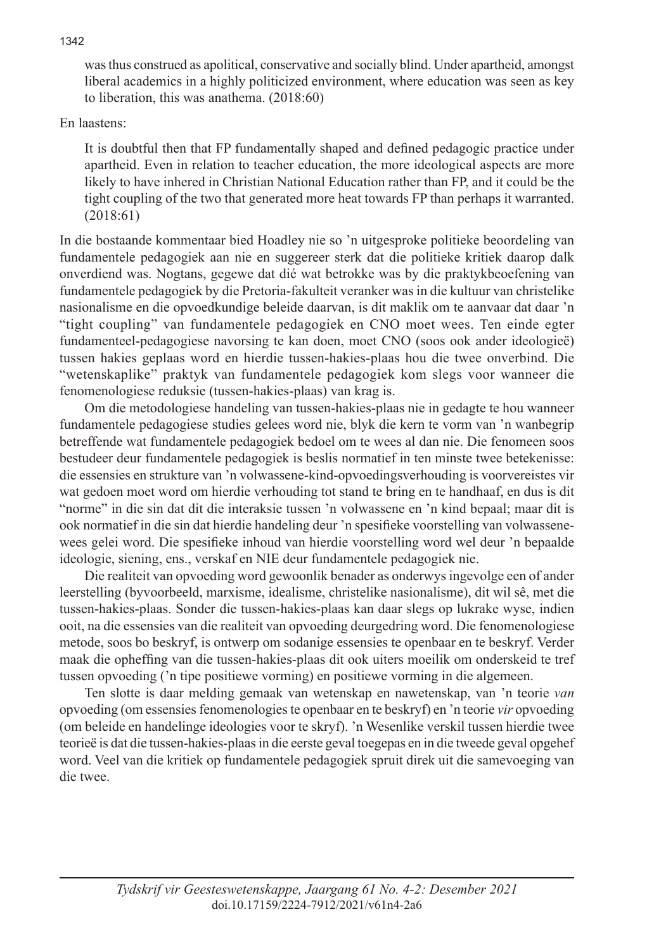was thus construed as apolitical, conservative and socially blind. Under apartheid, amongst liberal academics in a highly politicized environment, where education was seen as key to liberation, this was anathema. (2018:60)

En laastens:

It is doubtful then that FP fundamentally shaped and defined pedagogic practice under apartheid. Even in relation to teacher education, the more ideological aspects are more likely to have inhered in Christian National Education rather than FP, and it could be the tight coupling of the two that generated more heat towards FP than perhaps it warranted. (2018:61)

In die bostaande kommentaar bied Hoadley nie so 'n uitgesproke politieke beoordeling van fundamentele pedagogiek aan nie en suggereer sterk dat die politieke kritiek daarop dalk onverdiend was. Nogtans, gegewe dat dié wat betrokke was by die praktykbeoefening van fundamentele pedagogiek by die Pretoria-fakulteit veranker was in die kultuur van christelike nasionalisme en die opvoedkundige beleide daarvan, is dit maklik om te aanvaar dat daar 'n "tight coupling" van fundamentele pedagogiek en CNO moet wees. Ten einde egter fundamenteel-pedagogiese navorsing te kan doen, moet CNO (soos ook ander ideologieë) tussen hakies geplaas word en hierdie tussen-hakies-plaas hou die twee onverbind. Die "wetenskaplike" praktyk van fundamentele pedagogiek kom slegs voor wanneer die fenomenologiese reduksie (tussen-hakies-plaas) van krag is.

Om die metodologiese handeling van tussen-hakies-plaas nie in gedagte te hou wanneer fundamentele pedagogiese studies gelees word nie, blyk die kern te vorm van 'n wanbegrip betreffende wat fundamentele pedagogiek bedoel om te wees al dan nie. Die fenomeen soos bestudeer deur fundamentele pedagogiek is beslis normatief in ten minste twee betekenisse: die essensies en strukture van 'n volwassene-kind-opvoedingsverhouding is voorvereistes vir wat gedoen moet word om hierdie verhouding tot stand te bring en te handhaaf, en dus is dit "norme" in die sin dat dit die interaksie tussen 'n volwassene en 'n kind bepaal; maar dit is ook normatief in die sin dat hierdie handeling deur 'n spesifieke voorstelling van volwassenewees gelei word. Die spesifieke inhoud van hierdie voorstelling word wel deur 'n bepaalde ideologie, siening, ens., verskaf en NIE deur fundamentele pedagogiek nie.

Die realiteit van opvoeding word gewoonlik benader as onderwys ingevolge een of ander leerstelling (byvoorbeeld, marxisme, idealisme, christelike nasionalisme), dit wil sê, met die tussen-hakies-plaas. Sonder die tussen-hakies-plaas kan daar slegs op lukrake wyse, indien ooit, na die essensies van die realiteit van opvoeding deurgedring word. Die fenomenologiese metode, soos bo beskryf, is ontwerp om sodanige essensies te openbaar en te beskryf. Verder maak die opheffing van die tussen-hakies-plaas dit ook uiters moeilik om onderskeid te tref tussen opvoeding ('n tipe positiewe vorming) en positiewe vorming in die algemeen.

Ten slotte is daar melding gemaak van wetenskap en nawetenskap, van 'n teorie *van* opvoeding (om essensies fenomenologies te openbaar en te beskryf) en 'n teorie *vir* opvoeding (om beleide en handelinge ideologies voor te skryf). 'n Wesenlike verskil tussen hierdie twee teorieë is dat die tussen-hakies-plaas in die eerste geval toegepas en in die tweede geval opgehef word. Veel van die kritiek op fundamentele pedagogiek spruit direk uit die samevoeging van die twee.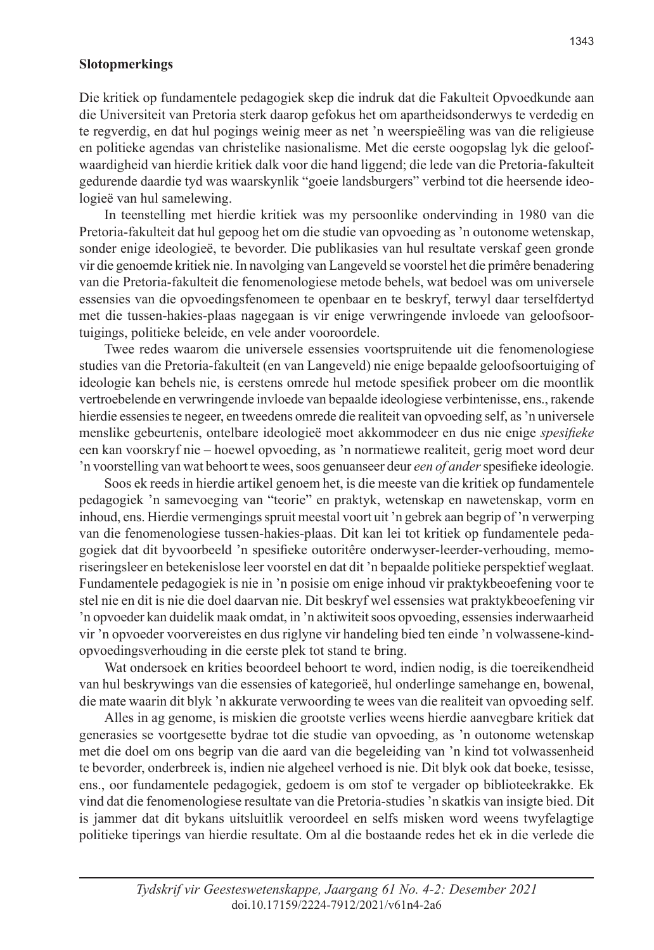### **Slotopmerkings**

Die kritiek op fundamentele pedagogiek skep die indruk dat die Fakulteit Opvoedkunde aan die Universiteit van Pretoria sterk daarop gefokus het om apartheidsonderwys te verdedig en te regverdig, en dat hul pogings weinig meer as net 'n weerspieëling was van die religieuse en politieke agendas van christelike nasionalisme. Met die eerste oogopslag lyk die geloofwaardigheid van hierdie kritiek dalk voor die hand liggend; die lede van die Pretoria-fakulteit gedurende daardie tyd was waarskynlik "goeie landsburgers" verbind tot die heersende ideologieë van hul samelewing.

In teenstelling met hierdie kritiek was my persoonlike ondervinding in 1980 van die Pretoria-fakulteit dat hul gepoog het om die studie van opvoeding as 'n outonome wetenskap, sonder enige ideologieë, te bevorder. Die publikasies van hul resultate verskaf geen gronde vir die genoemde kritiek nie. In navolging van Langeveld se voorstel het die primêre benadering van die Pretoria-fakulteit die fenomenologiese metode behels, wat bedoel was om universele essensies van die opvoedingsfenomeen te openbaar en te beskryf, terwyl daar terselfdertyd met die tussen-hakies-plaas nagegaan is vir enige verwringende invloede van geloofsoortuigings, politieke beleide, en vele ander vooroordele.

Twee redes waarom die universele essensies voortspruitende uit die fenomenologiese studies van die Pretoria-fakulteit (en van Langeveld) nie enige bepaalde geloofsoortuiging of ideologie kan behels nie, is eerstens omrede hul metode spesifiek probeer om die moontlik vertroebelende en verwringende invloede van bepaalde ideologiese verbintenisse, ens., rakende hierdie essensies te negeer, en tweedens omrede die realiteit van opvoeding self, as 'n universele menslike gebeurtenis, ontelbare ideologieë moet akkommodeer en dus nie enige *spesifieke* een kan voorskryf nie – hoewel opvoeding, as 'n normatiewe realiteit, gerig moet word deur 'n voorstelling van wat behoort te wees, soos genuanseer deur *een of ander* spesifieke ideologie.

Soos ek reeds in hierdie artikel genoem het, is die meeste van die kritiek op fundamentele pedagogiek 'n samevoeging van "teorie" en praktyk, wetenskap en nawetenskap, vorm en inhoud, ens. Hierdie vermengings spruit meestal voort uit 'n gebrek aan begrip of 'n verwerping van die fenomenologiese tussen-hakies-plaas. Dit kan lei tot kritiek op fundamentele pedagogiek dat dit byvoorbeeld 'n spesifieke outoritêre onderwyser-leerder-verhouding, memoriseringsleer en betekenislose leer voorstel en dat dit 'n bepaalde politieke perspektief weglaat. Fundamentele pedagogiek is nie in 'n posisie om enige inhoud vir praktykbeoefening voor te stel nie en dit is nie die doel daarvan nie. Dit beskryf wel essensies wat praktykbeoefening vir 'n opvoeder kan duidelik maak omdat, in 'n aktiwiteit soos opvoeding, essensies inderwaarheid vir 'n opvoeder voorvereistes en dus riglyne vir handeling bied ten einde 'n volwassene-kindopvoedingsverhouding in die eerste plek tot stand te bring.

Wat ondersoek en krities beoordeel behoort te word, indien nodig, is die toereikendheid van hul beskrywings van die essensies of kategorieë, hul onderlinge samehange en, bowenal, die mate waarin dit blyk 'n akkurate verwoording te wees van die realiteit van opvoeding self.

Alles in ag genome, is miskien die grootste verlies weens hierdie aanvegbare kritiek dat generasies se voortgesette bydrae tot die studie van opvoeding, as 'n outonome wetenskap met die doel om ons begrip van die aard van die begeleiding van 'n kind tot volwassenheid te bevorder, onderbreek is, indien nie algeheel verhoed is nie. Dit blyk ook dat boeke, tesisse, ens., oor fundamentele pedagogiek, gedoem is om stof te vergader op biblioteekrakke. Ek vind dat die fenomenologiese resultate van die Pretoria-studies 'n skatkis van insigte bied. Dit is jammer dat dit bykans uitsluitlik veroordeel en selfs misken word weens twyfelagtige politieke tiperings van hierdie resultate. Om al die bostaande redes het ek in die verlede die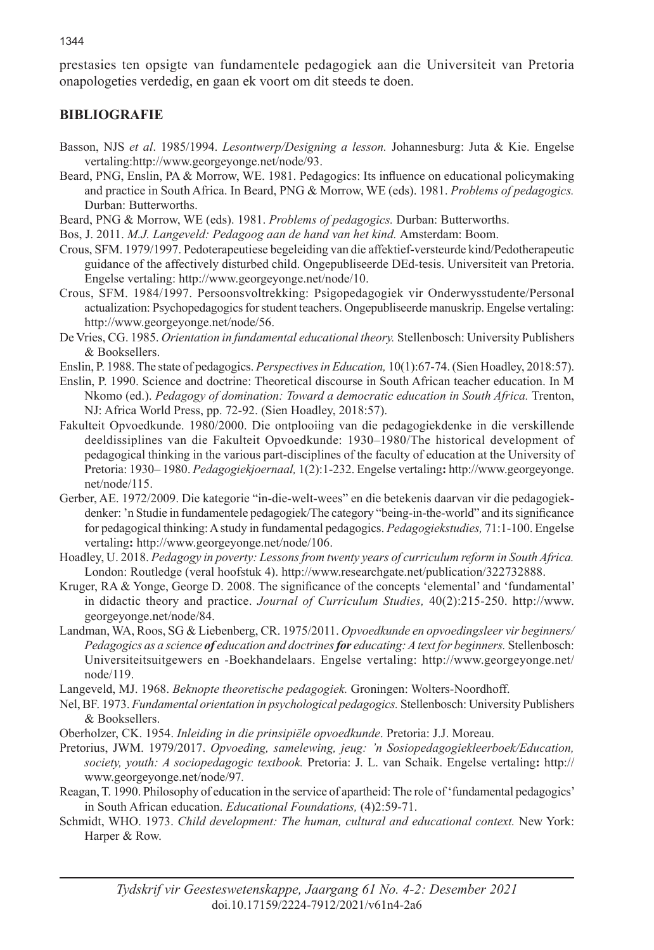prestasies ten opsigte van fundamentele pedagogiek aan die Universiteit van Pretoria onapologeties verdedig, en gaan ek voort om dit steeds te doen.

# **BIBLIOGRAFIE**

- Basson, NJS *et al*. 1985/1994. *Lesontwerp/Designing a lesson.* Johannesburg: Juta & Kie. Engelse vertaling:http://www.georgeyonge.net/node/93.
- Beard, PNG, Enslin, PA & Morrow, WE. 1981. Pedagogics: Its influence on educational policymaking and practice in South Africa. In Beard, PNG & Morrow, WE (eds). 1981. *Problems of pedagogics.*  Durban: Butterworths.
- Beard, PNG & Morrow, WE (eds). 1981. *Problems of pedagogics.* Durban: Butterworths.
- Bos, J. 2011. *M.J. Langeveld: Pedagoog aan de hand van het kind.* Amsterdam: Boom.
- Crous, SFM. 1979/1997. Pedoterapeutiese begeleiding van die affektief-versteurde kind/Pedotherapeutic guidance of the affectively disturbed child. Ongepubliseerde DEd-tesis. Universiteit van Pretoria. Engelse vertaling: http://www.georgeyonge.net/node/10.
- Crous, SFM. 1984/1997. Persoonsvoltrekking: Psigopedagogiek vir Onderwysstudente/Personal actualization: Psychopedagogics for student teachers. Ongepubliseerde manuskrip. Engelse vertaling: http://www.georgeyonge.net/node/56.
- De Vries, CG. 1985. *Orientation in fundamental educational theory.* Stellenbosch: University Publishers & Booksellers.
- Enslin, P. 1988. The state of pedagogics. *Perspectives in Education,* 10(1):67-74. (Sien Hoadley, 2018:57).
- Enslin, P. 1990. Science and doctrine: Theoretical discourse in South African teacher education. In M Nkomo (ed.). *Pedagogy of domination: Toward a democratic education in South Africa.* Trenton, NJ: Africa World Press, pp. 72-92. (Sien Hoadley, 2018:57).
- Fakulteit Opvoedkunde. 1980/2000. Die ontplooiing van die pedagogiekdenke in die verskillende deeldissiplines van die Fakulteit Opvoedkunde: 1930–1980/The historical development of pedagogical thinking in the various part-disciplines of the faculty of education at the University of Pretoria: 1930– 1980. *Pedagogiekjoernaal,* 1(2):1-232. Engelse vertaling**:** http://www.georgeyonge. net/node/115.
- Gerber, AE. 1972/2009. Die kategorie "in-die-welt-wees" en die betekenis daarvan vir die pedagogiekdenker: 'n Studie in fundamentele pedagogiek/The category "being-in-the-world" and its significance for pedagogical thinking: A study in fundamental pedagogics. *Pedagogiekstudies,* 71:1-100. Engelse vertaling**:** http://www.georgeyonge.net/node/106.
- Hoadley, U. 2018. *Pedagogy in poverty: Lessons from twenty years of curriculum reform in South Africa.*  London: Routledge (veral hoofstuk 4). http://www.researchgate.net/publication/322732888.
- Kruger, RA & Yonge, George D. 2008. The significance of the concepts 'elemental' and 'fundamental' in didactic theory and practice. *Journal of Curriculum Studies,* 40(2):215-250. http://www. georgeyonge.net/node/84.
- Landman, WA, Roos, SG & Liebenberg, CR. 1975/2011. *Opvoedkunde en opvoedingsleer vir beginners/ Pedagogics as a science of education and doctrines for educating: A text for beginners.* Stellenbosch: Universiteitsuitgewers en -Boekhandelaars. Engelse vertaling: http://www.georgeyonge.net/ node/119.
- Langeveld, MJ. 1968. *Beknopte theoretische pedagogiek.* Groningen: Wolters-Noordhoff.
- Nel, BF. 1973. *Fundamental orientation in psychological pedagogics.* Stellenbosch: University Publishers & Booksellers.
- Oberholzer, CK. 1954. *Inleiding in die prinsipiële opvoedkunde*. Pretoria: J.J. Moreau.
- Pretorius, JWM. 1979/2017. *Opvoeding, samelewing, jeug: 'n Sosiopedagogiekleerboek/Education, society, youth: A sociopedagogic textbook.* Pretoria: J. L. van Schaik. Engelse vertaling**:** http:// www.georgeyonge.net/node/97*.*
- Reagan, T. 1990. Philosophy of education in the service of apartheid: The role of 'fundamental pedagogics' in South African education. *Educational Foundations,* (4)2:59-71.
- Schmidt, WHO. 1973. *Child development: The human, cultural and educational context*. New York: Harper & Row.